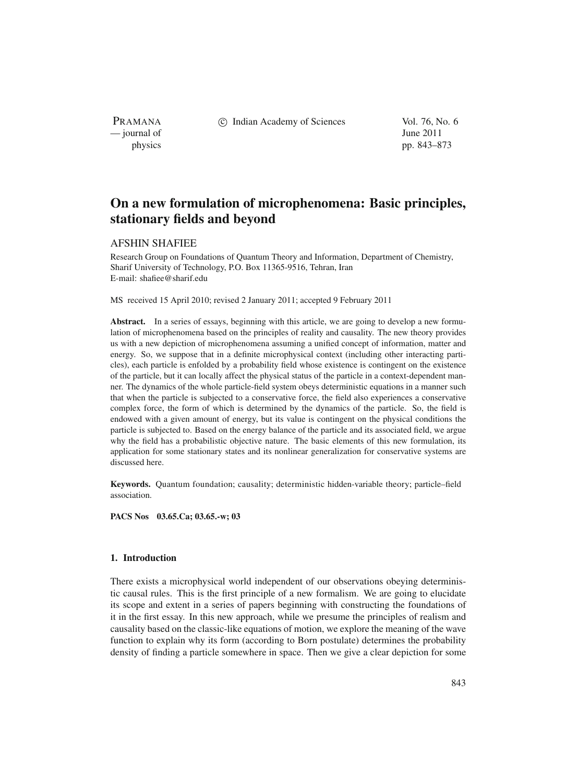PRAMANA — journal of June 2011

c Indian Academy of Sciences Vol. 76, No. 6

physics pp. 843–873

# **On a new formulation of microphenomena: Basic principles, stationary fields and beyond**

### AFSHIN SHAFIEE

Research Group on Foundations of Quantum Theory and Information, Department of Chemistry, Sharif University of Technology, P.O. Box 11365-9516, Tehran, Iran E-mail: shafiee@sharif.edu

MS received 15 April 2010; revised 2 January 2011; accepted 9 February 2011

**Abstract.** In a series of essays, beginning with this article, we are going to develop a new formulation of microphenomena based on the principles of reality and causality. The new theory provides us with a new depiction of microphenomena assuming a unified concept of information, matter and energy. So, we suppose that in a definite microphysical context (including other interacting particles), each particle is enfolded by a probability field whose existence is contingent on the existence of the particle, but it can locally affect the physical status of the particle in a context-dependent manner. The dynamics of the whole particle-field system obeys deterministic equations in a manner such that when the particle is subjected to a conservative force, the field also experiences a conservative complex force, the form of which is determined by the dynamics of the particle. So, the field is endowed with a given amount of energy, but its value is contingent on the physical conditions the particle is subjected to. Based on the energy balance of the particle and its associated field, we argue why the field has a probabilistic objective nature. The basic elements of this new formulation, its application for some stationary states and its nonlinear generalization for conservative systems are discussed here.

**Keywords.** Quantum foundation; causality; deterministic hidden-variable theory; particle–field association.

**PACS Nos 03.65.Ca; 03.65.-w; 03**

### **1. Introduction**

There exists a microphysical world independent of our observations obeying deterministic causal rules. This is the first principle of a new formalism. We are going to elucidate its scope and extent in a series of papers beginning with constructing the foundations of it in the first essay. In this new approach, while we presume the principles of realism and causality based on the classic-like equations of motion, we explore the meaning of the wave function to explain why its form (according to Born postulate) determines the probability density of finding a particle somewhere in space. Then we give a clear depiction for some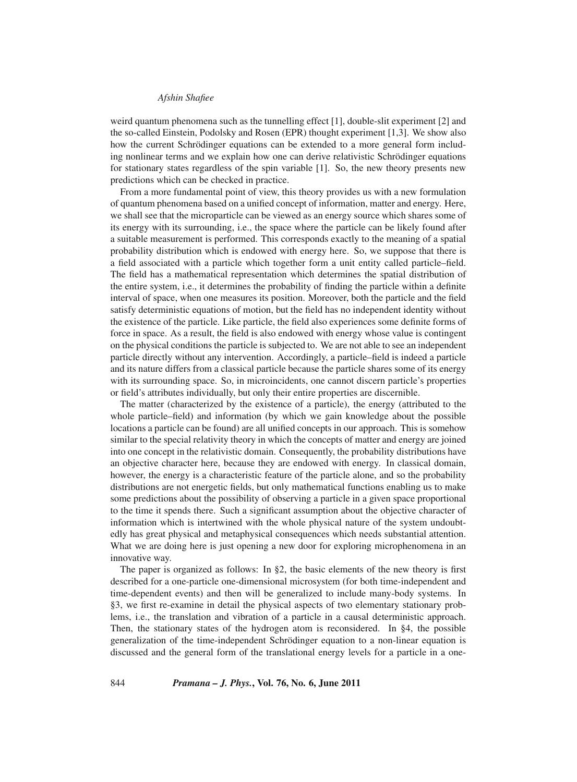weird quantum phenomena such as the tunnelling effect [1], double-slit experiment [2] and the so-called Einstein, Podolsky and Rosen (EPR) thought experiment [1,3]. We show also how the current Schrödinger equations can be extended to a more general form including nonlinear terms and we explain how one can derive relativistic Schrödinger equations for stationary states regardless of the spin variable [1]. So, the new theory presents new predictions which can be checked in practice.

From a more fundamental point of view, this theory provides us with a new formulation of quantum phenomena based on a unified concept of information, matter and energy. Here, we shall see that the microparticle can be viewed as an energy source which shares some of its energy with its surrounding, i.e., the space where the particle can be likely found after a suitable measurement is performed. This corresponds exactly to the meaning of a spatial probability distribution which is endowed with energy here. So, we suppose that there is a field associated with a particle which together form a unit entity called particle–field. The field has a mathematical representation which determines the spatial distribution of the entire system, i.e., it determines the probability of finding the particle within a definite interval of space, when one measures its position. Moreover, both the particle and the field satisfy deterministic equations of motion, but the field has no independent identity without the existence of the particle. Like particle, the field also experiences some definite forms of force in space. As a result, the field is also endowed with energy whose value is contingent on the physical conditions the particle is subjected to. We are not able to see an independent particle directly without any intervention. Accordingly, a particle–field is indeed a particle and its nature differs from a classical particle because the particle shares some of its energy with its surrounding space. So, in microincidents, one cannot discern particle's properties or field's attributes individually, but only their entire properties are discernible.

The matter (characterized by the existence of a particle), the energy (attributed to the whole particle–field) and information (by which we gain knowledge about the possible locations a particle can be found) are all unified concepts in our approach. This is somehow similar to the special relativity theory in which the concepts of matter and energy are joined into one concept in the relativistic domain. Consequently, the probability distributions have an objective character here, because they are endowed with energy. In classical domain, however, the energy is a characteristic feature of the particle alone, and so the probability distributions are not energetic fields, but only mathematical functions enabling us to make some predictions about the possibility of observing a particle in a given space proportional to the time it spends there. Such a significant assumption about the objective character of information which is intertwined with the whole physical nature of the system undoubtedly has great physical and metaphysical consequences which needs substantial attention. What we are doing here is just opening a new door for exploring microphenomena in an innovative way.

The paper is organized as follows: In §2, the basic elements of the new theory is first described for a one-particle one-dimensional microsystem (for both time-independent and time-dependent events) and then will be generalized to include many-body systems. In §3, we first re-examine in detail the physical aspects of two elementary stationary problems, i.e., the translation and vibration of a particle in a causal deterministic approach. Then, the stationary states of the hydrogen atom is reconsidered. In §4, the possible generalization of the time-independent Schrödinger equation to a non-linear equation is discussed and the general form of the translational energy levels for a particle in a one-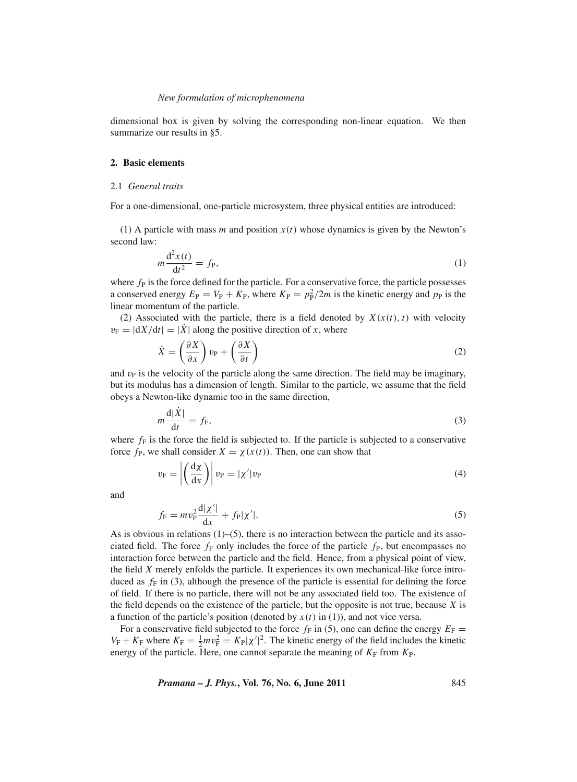dimensional box is given by solving the corresponding non-linear equation. We then summarize our results in §5.

## **2. Basic elements**

#### 2.1 *General traits*

For a one-dimensional, one-particle microsystem, three physical entities are introduced:

(1) A particle with mass *m* and position *x*(*t*) whose dynamics is given by the Newton's second law:

$$
m\frac{\mathrm{d}^2x(t)}{\mathrm{d}t^2} = f_{\mathrm{P}},\tag{1}
$$

where  $f<sub>P</sub>$  is the force defined for the particle. For a conservative force, the particle possesses a conserved energy  $E_P = V_P + K_P$ , where  $K_P = p_P^2/2m$  is the kinetic energy and  $p_P$  is the linear momentum of the particle.

(2) Associated with the particle, there is a field denoted by  $X(x(t), t)$  with velocity  $v_F = |dX/dt| = |\dot{X}|$  along the positive direction of *x*, where

$$
\dot{X} = \left(\frac{\partial X}{\partial x}\right)v_{\rm P} + \left(\frac{\partial X}{\partial t}\right)
$$
\n(2)

and  $v<sub>P</sub>$  is the velocity of the particle along the same direction. The field may be imaginary, but its modulus has a dimension of length. Similar to the particle, we assume that the field obeys a Newton-like dynamic too in the same direction,

$$
m\frac{\mathrm{d}|\dot{X}|}{\mathrm{d}t} = f_{\mathrm{F}},\tag{3}
$$

where  $f_F$  is the force the field is subjected to. If the particle is subjected to a conservative force  $f<sub>P</sub>$ , we shall consider  $X = \chi(x(t))$ . Then, one can show that

$$
v_{\rm F} = \left| \left( \frac{\mathrm{d}\chi}{\mathrm{d}x} \right) \right| v_{\rm P} = |\chi'| v_{\rm P} \tag{4}
$$

and

$$
f_{\rm F} = m v_{\rm P}^2 \frac{d|\chi'|}{dx} + f_{\rm P}|\chi'|.
$$
 (5)

As is obvious in relations  $(1)$ –(5), there is no interaction between the particle and its associated field. The force  $f_F$  only includes the force of the particle  $f_P$ , but encompasses no interaction force between the particle and the field. Hence, from a physical point of view, the field *X* merely enfolds the particle. It experiences its own mechanical-like force introduced as  $f_F$  in (3), although the presence of the particle is essential for defining the force of field. If there is no particle, there will not be any associated field too. The existence of the field depends on the existence of the particle, but the opposite is not true, because *X* is a function of the particle's position (denoted by  $x(t)$  in (1)), and not vice versa.

For a conservative field subjected to the force  $f_F$  in (5), one can define the energy  $E_F$  =  $V_F + K_F$  where  $K_F = \frac{1}{2}mv_F^2 = K_F|\chi'|^2$ . The kinetic energy of the field includes the kinetic energy of the particle. Here, one cannot separate the meaning of  $K_F$  from  $K_P$ .

*Pramana – J. Phys.***, Vol. 76, No. 6, June 2011** 845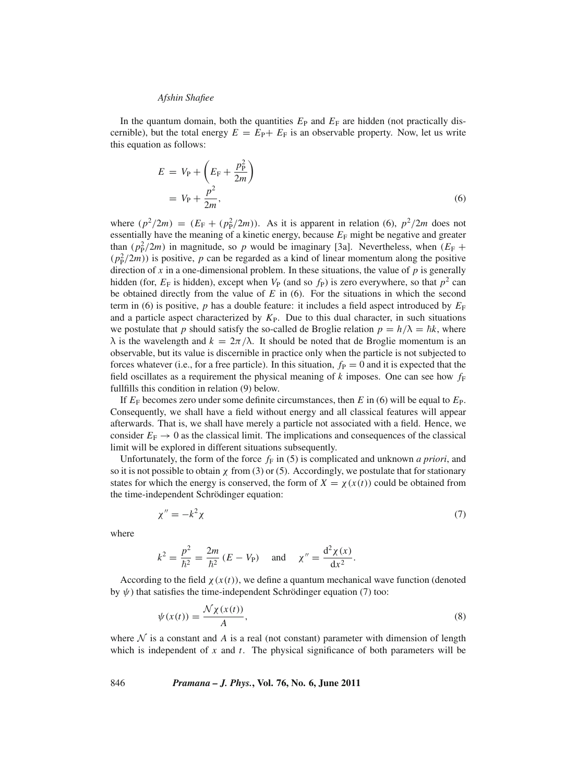In the quantum domain, both the quantities  $E_P$  and  $E_F$  are hidden (not practically discernible), but the total energy  $E = E_P + E_F$  is an observable property. Now, let us write this equation as follows:

$$
E = V_{\rm P} + \left(E_{\rm F} + \frac{p_{\rm P}^2}{2m}\right)
$$

$$
= V_{\rm P} + \frac{p^2}{2m},\tag{6}
$$

where  $(p^2/2m) = (E_F + (p_F^2/2m))$ . As it is apparent in relation (6),  $p^2/2m$  does not essentially have the meaning of a kinetic energy, because  $E_F$  might be negative and greater than  $(p_P^2/2m)$  in magnitude, so *p* would be imaginary [3a]. Nevertheless, when  $(E_F +$  $(p_P^2/2m)$ ) is positive, *p* can be regarded as a kind of linear momentum along the positive direction of *x* in a one-dimensional problem. In these situations, the value of *p* is generally hidden (for,  $E_F$  is hidden), except when  $V_P$  (and so  $f_P$ ) is zero everywhere, so that  $p^2$  can be obtained directly from the value of *E* in (6). For the situations in which the second term in (6) is positive, *p* has a double feature: it includes a field aspect introduced by  $E_F$ and a particle aspect characterized by  $K_{P}$ . Due to this dual character, in such situations we postulate that *p* should satisfy the so-called de Broglie relation  $p = h/\lambda = \hbar k$ , where  $\lambda$  is the wavelength and  $k = 2\pi/\lambda$ . It should be noted that de Broglie momentum is an observable, but its value is discernible in practice only when the particle is not subjected to forces whatever (i.e., for a free particle). In this situation,  $f<sub>P</sub> = 0$  and it is expected that the field oscillates as a requirement the physical meaning of  $k$  imposes. One can see how  $f_F$ fullfills this condition in relation (9) below.

If *E*<sup>F</sup> becomes zero under some definite circumstances, then *E* in (6) will be equal to *E*P. Consequently, we shall have a field without energy and all classical features will appear afterwards. That is, we shall have merely a particle not associated with a field. Hence, we consider  $E_F \rightarrow 0$  as the classical limit. The implications and consequences of the classical limit will be explored in different situations subsequently.

Unfortunately, the form of the force  $f_F$  in (5) is complicated and unknown *a priori*, and so it is not possible to obtain  $\chi$  from (3) or (5). Accordingly, we postulate that for stationary states for which the energy is conserved, the form of  $X = \chi(x(t))$  could be obtained from the time-independent Schrödinger equation:

$$
\chi'' = -k^2 \chi \tag{7}
$$

where

$$
k^2 = \frac{p^2}{\hbar^2} = \frac{2m}{\hbar^2} (E - V_P)
$$
 and  $\chi'' = \frac{d^2 \chi(x)}{dx^2}$ .

According to the field  $\chi(x(t))$ , we define a quantum mechanical wave function (denoted by  $\psi$ ) that satisfies the time-independent Schrödinger equation (7) too:

$$
\psi(x(t)) = \frac{\mathcal{N}\chi(x(t))}{A},\tag{8}
$$

where  $\mathcal N$  is a constant and  $\mathcal A$  is a real (not constant) parameter with dimension of length which is independent of *x* and *t*. The physical significance of both parameters will be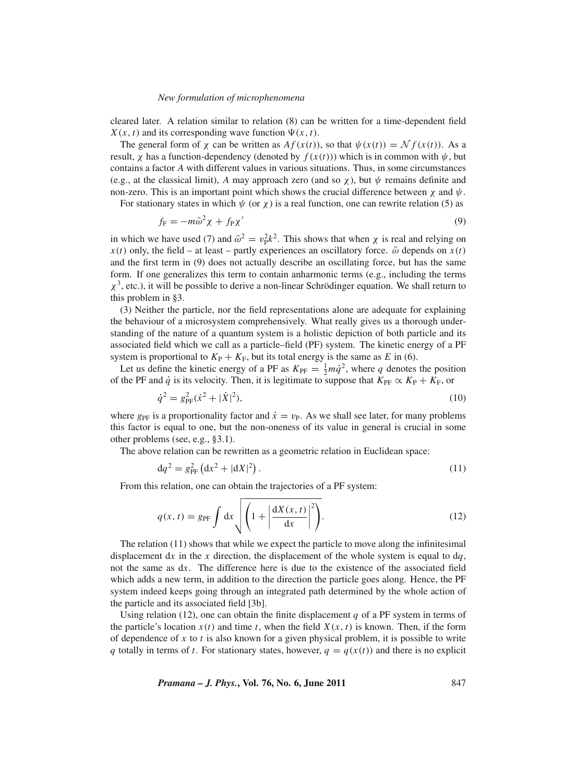cleared later. A relation similar to relation (8) can be written for a time-dependent field  $X(x, t)$  and its corresponding wave function  $\Psi(x, t)$ .

The general form of  $\chi$  can be written as  $Af(x(t))$ , so that  $\psi(x(t)) = \mathcal{N} f(x(t))$ . As a result,  $\chi$  has a function-dependency (denoted by  $f(x(t))$ ) which is in common with  $\psi$ , but contains a factor *A* with different values in various situations. Thus, in some circumstances (e.g., at the classical limit), *A* may approach zero (and so  $\chi$ ), but  $\psi$  remains definite and non-zero. This is an important point which shows the crucial difference between  $\chi$  and  $\psi$ .

For stationary states in which  $\psi$  (or  $\chi$ ) is a real function, one can rewrite relation (5) as

$$
f_{\rm F} = -m\bar{\omega}^2 \chi + f_{\rm P} \chi' \tag{9}
$$

in which we have used (7) and  $\bar{\omega}^2 = v_P^2 k^2$ . This shows that when  $\chi$  is real and relying on  $x(t)$  only, the field – at least – partly experiences an oscillatory force.  $\bar{\omega}$  depends on  $x(t)$ and the first term in (9) does not actually describe an oscillating force, but has the same form. If one generalizes this term to contain anharmonic terms (e.g., including the terms  $\chi^3$ , etc.), it will be possible to derive a non-linear Schrödinger equation. We shall return to this problem in §3.

(3) Neither the particle, nor the field representations alone are adequate for explaining the behaviour of a microsystem comprehensively. What really gives us a thorough understanding of the nature of a quantum system is a holistic depiction of both particle and its associated field which we call as a particle–field (PF) system. The kinetic energy of a PF system is proportional to  $K_P + K_F$ , but its total energy is the same as *E* in (6).

Let us define the kinetic energy of a PF as  $K_{\text{PF}} = \frac{1}{2} m \dot{q}^2$ , where *q* denotes the position of the PF and *q*<sup> $i$ </sup> is its velocity. Then, it is legitimate to suppose that  $K_{\text{PF}} \propto K_{\text{P}} + K_{\text{F}}$ , or

$$
\dot{q}^2 = g_{\rm PF}^2(\dot{x}^2 + |\dot{X}|^2),\tag{10}
$$

where  $g_{\text{PF}}$  is a proportionality factor and  $\dot{x} = v_{\text{P}}$ . As we shall see later, for many problems this factor is equal to one, but the non-oneness of its value in general is crucial in some other problems (see, e.g., §3.1).

The above relation can be rewritten as a geometric relation in Euclidean space:

$$
dq^2 = g_{PF}^2 (dx^2 + |dX|^2).
$$
 (11)

From this relation, one can obtain the trajectories of a PF system:

$$
q(x,t) = g_{\text{PF}} \int \mathrm{d}x \sqrt{\left(1 + \left|\frac{\mathrm{d}X(x,t)}{\mathrm{d}x}\right|^2\right)}.
$$
 (12)

The relation (11) shows that while we expect the particle to move along the infinitesimal displacement dx in the x direction, the displacement of the whole system is equal to  $dq$ , not the same as d*x*. The difference here is due to the existence of the associated field which adds a new term, in addition to the direction the particle goes along. Hence, the PF system indeed keeps going through an integrated path determined by the whole action of the particle and its associated field [3b].

Using relation (12), one can obtain the finite displacement  $q$  of a PF system in terms of the particle's location  $x(t)$  and time *t*, when the field  $X(x, t)$  is known. Then, if the form of dependence of *x* to *t* is also known for a given physical problem, it is possible to write *q* totally in terms of *t*. For stationary states, however,  $q = q(x(t))$  and there is no explicit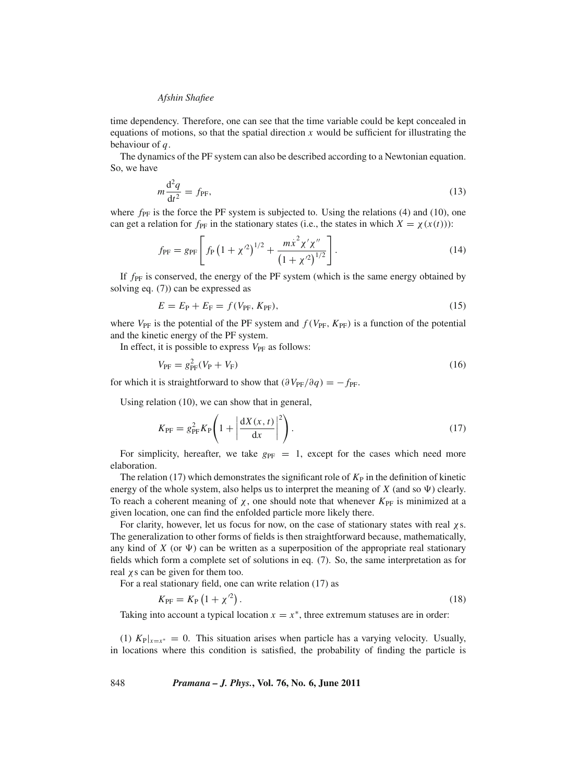time dependency. Therefore, one can see that the time variable could be kept concealed in equations of motions, so that the spatial direction *x* would be sufficient for illustrating the behaviour of *q*.

The dynamics of the PF system can also be described according to a Newtonian equation. So, we have

$$
m\frac{\mathrm{d}^2q}{\mathrm{d}t^2} = f_{\text{PF}},\tag{13}
$$

where  $f_{\text{PF}}$  is the force the PF system is subjected to. Using the relations (4) and (10), one can get a relation for  $f_{PF}$  in the stationary states (i.e., the states in which  $X = \chi(x(t))$ ):

$$
f_{\rm PF} = g_{\rm PF} \left[ f_{\rm P} \left( 1 + \chi^2 \right)^{1/2} + \frac{m \dot{x}^2 \chi' \chi''}{\left( 1 + \chi^2 \right)^{1/2}} \right]. \tag{14}
$$

If  $f_{\text{PF}}$  is conserved, the energy of the PF system (which is the same energy obtained by solving eq. (7)) can be expressed as

$$
E = E_{\rm P} + E_{\rm F} = f(V_{\rm PF}, K_{\rm PF}),
$$
\n(15)

where  $V_{\text{PF}}$  is the potential of the PF system and  $f(V_{\text{PF}}, K_{\text{PF}})$  is a function of the potential and the kinetic energy of the PF system.

In effect, it is possible to express  $V_{\text{PF}}$  as follows:

$$
V_{\rm PF} = g_{\rm PF}^2 (V_{\rm P} + V_{\rm F}) \tag{16}
$$

for which it is straightforward to show that  $(\partial V_{PF}/\partial q) = -f_{PF}$ .

Using relation (10), we can show that in general,

$$
K_{\rm PF} = g_{\rm PF}^2 K_{\rm P} \left( 1 + \left| \frac{dX(x, t)}{dx} \right|^2 \right). \tag{17}
$$

For simplicity, hereafter, we take  $g_{PF} = 1$ , except for the cases which need more elaboration.

The relation (17) which demonstrates the significant role of  $K<sub>P</sub>$  in the definition of kinetic energy of the whole system, also helps us to interpret the meaning of  $X$  (and so  $\Psi$ ) clearly. To reach a coherent meaning of  $\chi$ , one should note that whenever  $K_{\text{PF}}$  is minimized at a given location, one can find the enfolded particle more likely there.

For clarity, however, let us focus for now, on the case of stationary states with real χs. The generalization to other forms of fields is then straightforward because, mathematically, any kind of  $X$  (or  $\Psi$ ) can be written as a superposition of the appropriate real stationary fields which form a complete set of solutions in eq. (7). So, the same interpretation as for real  $\chi$  s can be given for them too.

For a real stationary field, one can write relation (17) as

$$
K_{\rm PF} = K_{\rm P} \left( 1 + \chi^2 \right). \tag{18}
$$

Taking into account a typical location  $x = x^*$ , three extremum statuses are in order:

(1)  $K_{P}|_{x=x^*} = 0$ . This situation arises when particle has a varying velocity. Usually, in locations where this condition is satisfied, the probability of finding the particle is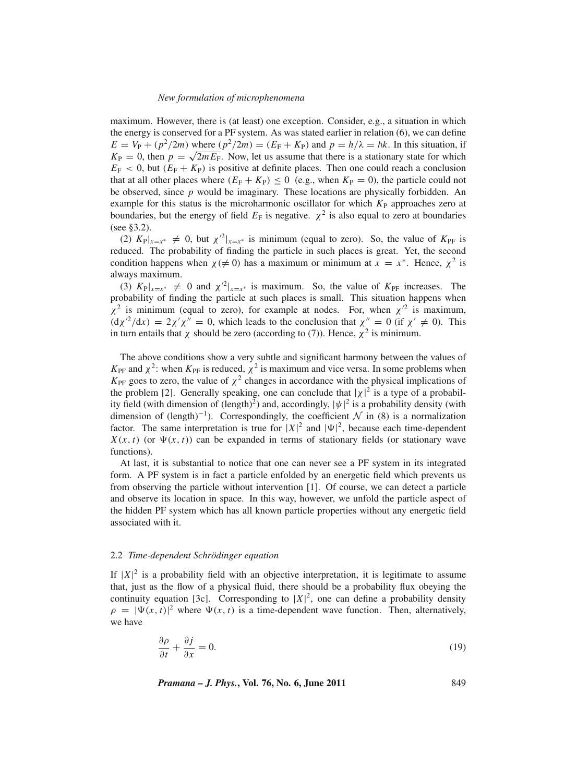maximum. However, there is (at least) one exception. Consider, e.g., a situation in which the energy is conserved for a PF system. As was stated earlier in relation (6), we can define  $E = V_P + (p^2/2m)$  where  $(p^2/2m) = (E_F + K_P)$  and  $p = h/\lambda = \hbar k$ . In this situation, if  $K_{\rm P} = 0$ , then  $p = \sqrt{2mE_{\rm F}}$ . Now, let us assume that there is a stationary state for which  $E_F < 0$ , but  $(E_F + K_P)$  is positive at definite places. Then one could reach a conclusion that at all other places where  $(E_F + K_P) \le 0$  (e.g., when  $K_P = 0$ ), the particle could not be observed, since *p* would be imaginary. These locations are physically forbidden. An example for this status is the microharmonic oscillator for which  $K<sub>P</sub>$  approaches zero at boundaries, but the energy of field  $E_F$  is negative.  $\chi^2$  is also equal to zero at boundaries (see §3.2).

(2)  $K_{\text{P}}|_{x=x^*} \neq 0$ , but  $\chi^2|_{x=x^*}$  is minimum (equal to zero). So, the value of  $K_{\text{P}}$  is reduced. The probability of finding the particle in such places is great. Yet, the second condition happens when  $\chi$ ( $\neq$  0) has a maximum or minimum at  $x = x^*$ . Hence,  $\chi^2$  is always maximum.

(3)  $K_{\text{P}}|_{x=x^*} \neq 0$  and  $\chi'^2|_{x=x^*}$  is maximum. So, the value of  $K_{\text{P}}$  increases. The probability of finding the particle at such places is small. This situation happens when  $\chi^2$  is minimum (equal to zero), for example at nodes. For, when  $\chi^2$  is maximum,  $(\mathrm{d}\chi^2/\mathrm{d}x) = 2\chi'\chi'' = 0$ , which leads to the conclusion that  $\chi'' = 0$  (if  $\chi' \neq 0$ ). This in turn entails that  $\chi$  should be zero (according to (7)). Hence,  $\chi^2$  is minimum.

The above conditions show a very subtle and significant harmony between the values of  $K_{\text{PF}}$  and  $\chi^2$ : when  $K_{\text{PF}}$  is reduced,  $\chi^2$  is maximum and vice versa. In some problems when  $K_{\text{PF}}$  goes to zero, the value of  $\chi^2$  changes in accordance with the physical implications of the problem [2]. Generally speaking, one can conclude that  $|\chi|^2$  is a type of a probability field (with dimension of (length)<sup>2</sup>) and, accordingly,  $|\psi|^2$  is a probability density (with dimension of  $(\text{length})^{-1}$ ). Correspondingly, the coefficient N in (8) is a normalization factor. The same interpretation is true for  $|X|^2$  and  $|\Psi|^2$ , because each time-dependent  $X(x, t)$  (or  $\Psi(x, t)$ ) can be expanded in terms of stationary fields (or stationary wave functions).

At last, it is substantial to notice that one can never see a PF system in its integrated form. A PF system is in fact a particle enfolded by an energetic field which prevents us from observing the particle without intervention [1]. Of course, we can detect a particle and observe its location in space. In this way, however, we unfold the particle aspect of the hidden PF system which has all known particle properties without any energetic field associated with it.

### 2.2 *Time-dependent Schrödinger equation*

If  $|X|^2$  is a probability field with an objective interpretation, it is legitimate to assume that, just as the flow of a physical fluid, there should be a probability flux obeying the continuity equation [3c]. Corresponding to  $|X|^2$ , one can define a probability density  $\rho = |\Psi(x, t)|^2$  where  $\Psi(x, t)$  is a time-dependent wave function. Then, alternatively, we have

$$
\frac{\partial \rho}{\partial t} + \frac{\partial j}{\partial x} = 0. \tag{19}
$$

*Pramana – J. Phys.***, Vol. 76, No. 6, June 2011** 849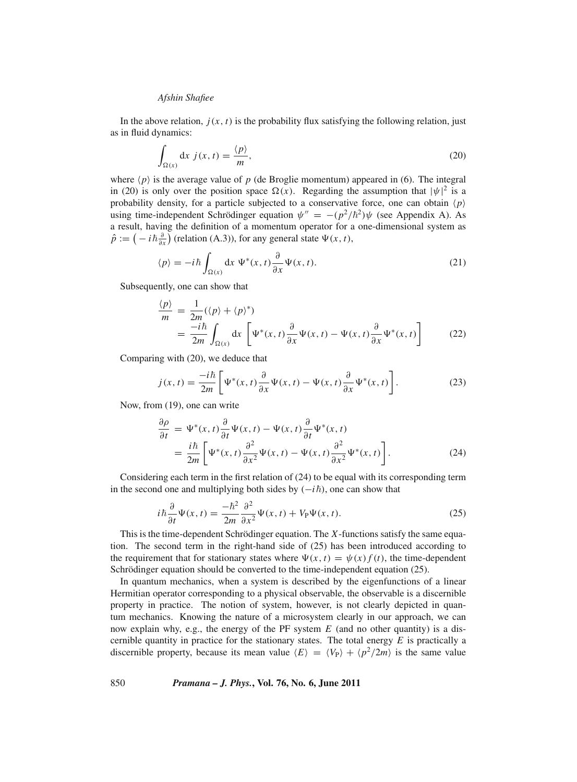In the above relation,  $j(x, t)$  is the probability flux satisfying the following relation, just as in fluid dynamics:

$$
\int_{\Omega(x)} dx \, j(x,t) = \frac{\langle p \rangle}{m},\tag{20}
$$

where  $\langle p \rangle$  is the average value of  $p$  (de Broglie momentum) appeared in (6). The integral in (20) is only over the position space  $\Omega(x)$ . Regarding the assumption that  $|\psi|^2$  is a probability density, for a particle subjected to a conservative force, one can obtain  $\langle p \rangle$ using time-independent Schrödinger equation  $\psi'' = -(p^2/\hbar^2)\psi$  (see Appendix A). As a result, having the definition of a momentum operator for a one-dimensional system as  $\hat{p} := \left(-i\hbar \frac{\partial}{\partial x}\right)$  (relation (A.3)), for any general state  $\Psi(x, t)$ ,

$$
\langle p \rangle = -i\hbar \int_{\Omega(x)} dx \, \Psi^*(x, t) \frac{\partial}{\partial x} \Psi(x, t). \tag{21}
$$

Subsequently, one can show that

$$
\frac{\langle p \rangle}{m} = \frac{1}{2m} (\langle p \rangle + \langle p \rangle^*)
$$
\n
$$
= \frac{-i\hbar}{2m} \int_{\Omega(x)} dx \left[ \Psi^*(x, t) \frac{\partial}{\partial x} \Psi(x, t) - \Psi(x, t) \frac{\partial}{\partial x} \Psi^*(x, t) \right]
$$
\n(22)

Comparing with (20), we deduce that

$$
j(x,t) = \frac{-i\hbar}{2m} \left[ \Psi^*(x,t) \frac{\partial}{\partial x} \Psi(x,t) - \Psi(x,t) \frac{\partial}{\partial x} \Psi^*(x,t) \right].
$$
 (23)

Now, from (19), one can write

$$
\frac{\partial \rho}{\partial t} = \Psi^*(x, t) \frac{\partial}{\partial t} \Psi(x, t) - \Psi(x, t) \frac{\partial}{\partial t} \Psi^*(x, t)
$$
\n
$$
= \frac{i\hbar}{2m} \left[ \Psi^*(x, t) \frac{\partial^2}{\partial x^2} \Psi(x, t) - \Psi(x, t) \frac{\partial^2}{\partial x^2} \Psi^*(x, t) \right].
$$
\n(24)

Considering each term in the first relation of (24) to be equal with its corresponding term in the second one and multiplying both sides by (−*i*-), one can show that

$$
i\hbar \frac{\partial}{\partial t} \Psi(x, t) = \frac{-\hbar^2}{2m} \frac{\partial^2}{\partial x^2} \Psi(x, t) + V_P \Psi(x, t). \tag{25}
$$

This is the time-dependent Schrödinger equation. The *X*-functions satisfy the same equation. The second term in the right-hand side of (25) has been introduced according to the requirement that for stationary states where  $\Psi(x, t) = \psi(x) f(t)$ , the time-dependent Schrödinger equation should be converted to the time-independent equation (25).

In quantum mechanics, when a system is described by the eigenfunctions of a linear Hermitian operator corresponding to a physical observable, the observable is a discernible property in practice. The notion of system, however, is not clearly depicted in quantum mechanics. Knowing the nature of a microsystem clearly in our approach, we can now explain why, e.g., the energy of the PF system *E* (and no other quantity) is a discernible quantity in practice for the stationary states. The total energy *E* is practically a discernible property, because its mean value  $\langle E \rangle = \langle V_P \rangle + \langle p^2/2m \rangle$  is the same value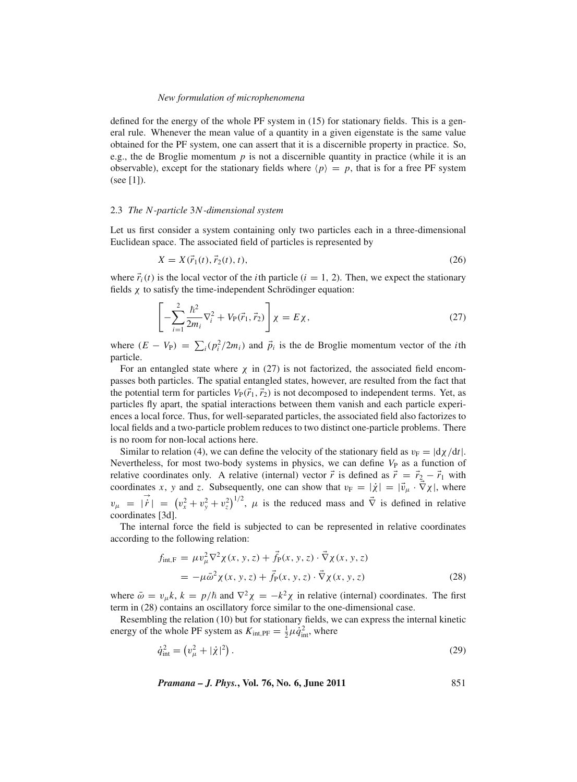defined for the energy of the whole PF system in (15) for stationary fields. This is a general rule. Whenever the mean value of a quantity in a given eigenstate is the same value obtained for the PF system, one can assert that it is a discernible property in practice. So, e.g., the de Broglie momentum *p* is not a discernible quantity in practice (while it is an observable), except for the stationary fields where  $\langle p \rangle = p$ , that is for a free PF system (see [1]).

### 2.3 *The N-particle* 3*N-dimensional system*

Let us first consider a system containing only two particles each in a three-dimensional Euclidean space. The associated field of particles is represented by

$$
X = X(\vec{r}_1(t), \vec{r}_2(t), t), \tag{26}
$$

where  $\vec{r}_i(t)$  is the local vector of the *i*th particle ( $i = 1, 2$ ). Then, we expect the stationary fields χ to satisfy the time-independent Schrödinger equation:

$$
\left[ -\sum_{i=1}^{2} \frac{\hbar^2}{2m_i} \nabla_i^2 + V_P(\vec{r}_1, \vec{r}_2) \right] \chi = E \chi, \qquad (27)
$$

where  $(E - V_P) = \sum_i (p_i^2 / 2m_i)$  and  $\vec{p}_i$  is the de Broglie momentum vector of the *i*th particle.

For an entangled state where  $\chi$  in (27) is not factorized, the associated field encompasses both particles. The spatial entangled states, however, are resulted from the fact that the potential term for particles  $V_P(\vec{r}_1, \vec{r}_2)$  is not decomposed to independent terms. Yet, as particles fly apart, the spatial interactions between them vanish and each particle experiences a local force. Thus, for well-separated particles, the associated field also factorizes to local fields and a two-particle problem reduces to two distinct one-particle problems. There is no room for non-local actions here.

Similar to relation (4), we can define the velocity of the stationary field as  $v_F = |d\chi/dt|$ . Nevertheless, for most two-body systems in physics, we can define  $V_P$  as a function of relative coordinates only. A relative (internal) vector  $\vec{r}$  is defined as  $\vec{r} = \vec{r}_2 - \vec{r}_1$  with coordinates *x*, *y* and *z*. Subsequently, one can show that  $v_F = |\dot{\chi}| = |\vec{v}_{\mu} \cdot \vec{\nabla} \chi|$ , where  $v_{\mu} = |\vec{r}| = (v_x^2 + v_y^2 + v_z^2)^{1/2}, \mu$  is the reduced mass and  $\vec{\nabla}$  is defined in relative coordinates [3d].

The internal force the field is subjected to can be represented in relative coordinates according to the following relation:

$$
f_{\text{int},F} = \mu v_{\mu}^{2} \nabla^{2} \chi(x, y, z) + \vec{f}_{P}(x, y, z) \cdot \vec{\nabla} \chi(x, y, z)
$$
  
= 
$$
-\mu \bar{\omega}^{2} \chi(x, y, z) + \vec{f}_{P}(x, y, z) \cdot \vec{\nabla} \chi(x, y, z)
$$
 (28)

where  $\bar{\omega} = v_{\mu}k$ ,  $k = p/\hbar$  and  $\nabla^2 \chi = -k^2 \chi$  in relative (internal) coordinates. The first term in (28) contains an oscillatory force similar to the one-dimensional case.

Resembling the relation (10) but for stationary fields, we can express the internal kinetic energy of the whole PF system as  $K_{\text{int,PF}} = \frac{1}{2}\mu \dot{q}_{\text{int}}^2$ , where

$$
\dot{q}_{\text{int}}^2 = (v_\mu^2 + |\dot{\chi}|^2). \tag{29}
$$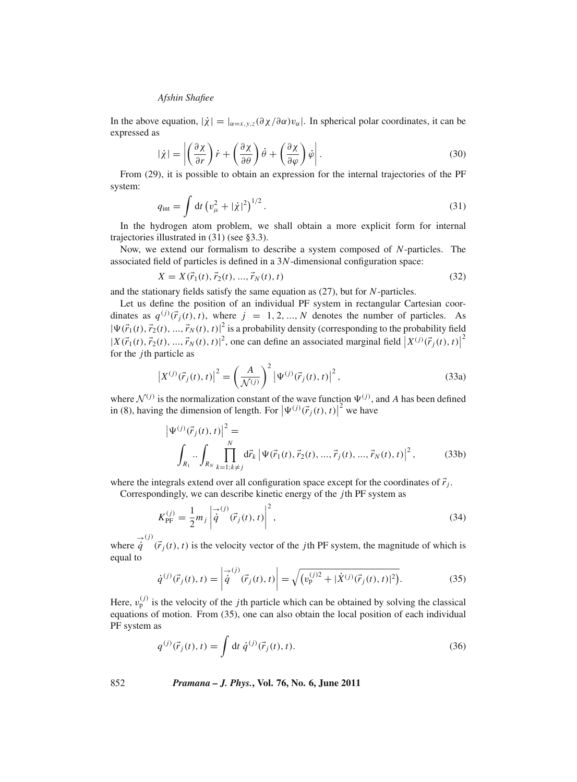In the above equation,  $|\dot{\chi}| = |_{\alpha=x,y,z} (\partial \chi / \partial \alpha) v_{\alpha}|$ . In spherical polar coordinates, it can be expressed as

$$
|\dot{\chi}| = \left| \left( \frac{\partial \chi}{\partial r} \right) \dot{r} + \left( \frac{\partial \chi}{\partial \theta} \right) \dot{\theta} + \left( \frac{\partial \chi}{\partial \varphi} \right) \dot{\varphi} \right|.
$$
 (30)

From (29), it is possible to obtain an expression for the internal trajectories of the PF system:

$$
q_{\rm int} = \int dt \left( v_{\mu}^2 + |\dot{\chi}|^2 \right)^{1/2} . \tag{31}
$$

In the hydrogen atom problem, we shall obtain a more explicit form for internal trajectories illustrated in (31) (see §3.3).

Now, we extend our formalism to describe a system composed of *N*-particles. The associated field of particles is defined in a 3*N*-dimensional configuration space:

$$
X = X(\vec{r}_1(t), \vec{r}_2(t), ..., \vec{r}_N(t), t)
$$
\n(32)

and the stationary fields satisfy the same equation as (27), but for *N*-particles.

Let us define the position of an individual PF system in rectangular Cartesian coordinates as  $q^{(j)}(\vec{r}_j(t), t)$ , where  $j = 1, 2, ..., N$  denotes the number of particles. As  $|\Psi(\vec{r}_1(t), \vec{r}_2(t), ..., \vec{r}_N(t), t)|^2$  is a probability density (corresponding to the probability field  $|X(\vec{r}_1(t), \vec{r}_2(t), ..., \vec{r}_N(t), t)|^2$ , one can define an associated marginal field  $|X^{(j)}(\vec{r}_j(t), t)|$ 2 for the *j*th particle as

$$
\left| X^{(j)}(\vec{r}_j(t),t) \right|^2 = \left( \frac{A}{\mathcal{N}^{(j)}} \right)^2 \left| \Psi^{(j)}(\vec{r}_j(t),t) \right|^2, \tag{33a}
$$

where  $\mathcal{N}^{(j)}$  is the normalization constant of the wave function  $\Psi^{(j)}$ , and *A* has been defined in (8), having the dimension of length. For  $|\Psi^{(j)}(\vec{r}_j(t), t)|^2$  we have

$$
\left|\Psi^{(j)}(\vec{r}_j(t),t)\right|^2 = \int_{R_1} \prod_{k=1;k\neq j}^N d\vec{r}_k \left|\Psi(\vec{r}_1(t),\vec{r}_2(t),...,\vec{r}_j(t),...,\vec{r}_N(t),t)\right|^2, \tag{33b}
$$

where the integrals extend over all configuration space except for the coordinates of  $\vec{r}_i$ .

Correspondingly, we can describe kinetic energy of the *j*th PF system as

$$
K_{\rm PF}^{(j)} = \frac{1}{2} m_j \left| \dot{\vec{q}}^{(j)}(\vec{r}_j(t), t) \right|^2,
$$
\n(34)

where  $\dot{q}^{(j)}(\vec{r}_j(t), t)$  is the velocity vector of the *j*th PF system, the magnitude of which is equal to

$$
\dot{q}^{(j)}(\vec{r}_j(t),t) = \left| \dot{\vec{q}}^{(j)}(\vec{r}_j(t),t) \right| = \sqrt{(v_p^{(j)2} + |\dot{X}^{(j)}(\vec{r}_j(t),t)|^2)}.
$$
\n(35)

Here,  $v_p^{(j)}$  is the velocity of the *j*th particle which can be obtained by solving the classical equations of motion. From (35), one can also obtain the local position of each individual PF system as

$$
q^{(j)}(\vec{r}_j(t),t) = \int dt \, \dot{q}^{(j)}(\vec{r}_j(t),t). \tag{36}
$$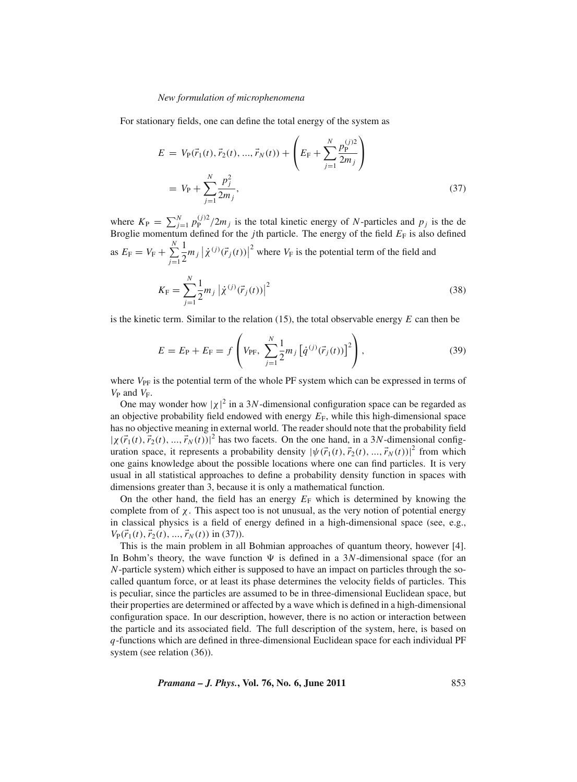For stationary fields, one can define the total energy of the system as

$$
E = V_{\rm P}(\vec{r}_1(t), \vec{r}_2(t), ..., \vec{r}_N(t)) + \left(E_{\rm F} + \sum_{j=1}^N \frac{p_{\rm P}^{(j)2}}{2m_j}\right)
$$
  
=  $V_{\rm P} + \sum_{j=1}^N \frac{p_j^2}{2m_j}$ , (37)

where  $K_{\rm P} = \sum_{j=1}^{N} p_{\rm P}^{(j)2} / 2m_j$  is the total kinetic energy of *N*-particles and  $p_j$  is the de Broglie momentum defined for the *j*th particle. The energy of the field  $E_F$  is also defined as  $E_{\rm F} = V_{\rm F} + \sum^N$ *j*=1 1  $\frac{1}{2}m_j |\dot{\chi}^{(j)}(\vec{r}_j(t))|^2$  where  $V_F$  is the potential term of the field and

$$
K_{\rm F} = \sum_{j=1}^{N} \frac{1}{2} m_j \left| \dot{\chi}^{(j)}(\vec{r}_j(t)) \right|^2 \tag{38}
$$

is the kinetic term. Similar to the relation (15), the total observable energy *E* can then be

$$
E = E_{\rm P} + E_{\rm F} = f\left(V_{\rm PF}, \sum_{j=1}^{N} \frac{1}{2} m_j \left[\dot{q}^{(j)}(\vec{r}_j(t))\right]^2\right),\tag{39}
$$

where  $V_{\text{PF}}$  is the potential term of the whole PF system which can be expressed in terms of  $V_P$  and  $V_F$ .

One may wonder how  $|\chi|^2$  in a 3*N*-dimensional configuration space can be regarded as an objective probability field endowed with energy  $E_F$ , while this high-dimensional space has no objective meaning in external world. The reader should note that the probability field  $|\chi(\vec{r}_1(t), \vec{r}_2(t), ..., \vec{r}_N(t))|^2$  has two facets. On the one hand, in a 3*N*-dimensional configuration space, it represents a probability density  $|\psi(\vec{r}_1(t), \vec{r}_2(t), ..., \vec{r}_N(t))|^2$  from which one gains knowledge about the possible locations where one can find particles. It is very usual in all statistical approaches to define a probability density function in spaces with dimensions greater than 3, because it is only a mathematical function.

On the other hand, the field has an energy  $E_F$  which is determined by knowing the complete from of  $\chi$ . This aspect too is not unusual, as the very notion of potential energy in classical physics is a field of energy defined in a high-dimensional space (see, e.g.,  $V_{\rm P}(\vec{r}_1(t), \vec{r}_2(t),...,\vec{r}_N(t))$  in (37)).

This is the main problem in all Bohmian approaches of quantum theory, however [4]. In Bohm's theory, the wave function  $\Psi$  is defined in a 3*N*-dimensional space (for an *N*-particle system) which either is supposed to have an impact on particles through the socalled quantum force, or at least its phase determines the velocity fields of particles. This is peculiar, since the particles are assumed to be in three-dimensional Euclidean space, but their properties are determined or affected by a wave which is defined in a high-dimensional configuration space. In our description, however, there is no action or interaction between the particle and its associated field. The full description of the system, here, is based on *q*-functions which are defined in three-dimensional Euclidean space for each individual PF system (see relation (36)).

$$
Pramana - J. Phys., Vol. 76, No. 6, June 2011
$$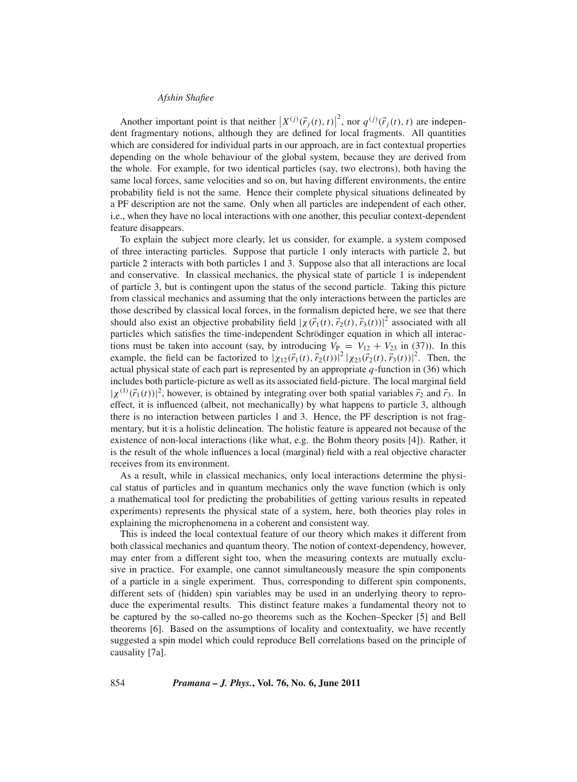Another important point is that neither  $\left| X^{(j)}(\vec{r}_j(t), t) \right|^2$ , nor  $q^{(j)}(\vec{r}_j(t), t)$  are indepen-<br>at freementory netings, elthough they are defined for local freements. All quantities Abouter important point is that field  $\left[ \frac{X - (t_j(t), t_j)}{Y - (t_j(t), t_j)} \right]$ , nor  $q \in (t_j(t), t_j)$  are independent fragmentary notions, although they are defined for local fragments. All quantities which are considered for individual parts in our approach, are in fact contextual properties depending on the whole behaviour of the global system, because they are derived from the whole. For example, for two identical particles (say, two electrons), both having the same local forces, same velocities and so on, but having different environments, the entire probability field is not the same. Hence their complete physical situations delineated by a PF description are not the same. Only when all particles are independent of each other, i.e., when they have no local interactions with one another, this peculiar context-dependent feature disappears.

To explain the subject more clearly, let us consider, for example, a system composed of three interacting particles. Suppose that particle 1 only interacts with particle 2, but particle 2 interacts with both particles 1 and 3. Suppose also that all interactions are local and conservative. In classical mechanics, the physical state of particle 1 is independent of particle 3, but is contingent upon the status of the second particle. Taking this picture from classical mechanics and assuming that the only interactions between the particles are those described by classical local forces, in the formalism depicted here, we see that there should also exist an objective probability field  $|\chi(\vec{r}_1(t), \vec{r}_2(t), \vec{r}_3(t))|^2$  associated with all particles which satisfies the time-independent Schrödinger equation in which all interactions must be taken into account (say, by introducing  $V_P = V_{12} + V_{23}$  in (37)). In this example, the field can be factorized to  $|\chi_{12}(\vec{r}_1(t), \vec{r}_2(t))|^2 |\chi_{23}(\vec{r}_2(t), \vec{r}_3(t))|^2$ . Then, the actual physical state of each part is represented by an appropriate *q*-function in (36) which includes both particle-picture as well as its associated field-picture. The local marginal field  $|\chi^{(1)}(\vec{r}_1(t))|^2$ , however, is obtained by integrating over both spatial variables  $\vec{r}_2$  and  $\vec{r}_3$ . In effect, it is influenced (albeit, not mechanically) by what happens to particle 3, although there is no interaction between particles 1 and 3. Hence, the PF description is not fragmentary, but it is a holistic delineation. The holistic feature is appeared not because of the existence of non-local interactions (like what, e.g. the Bohm theory posits [4]). Rather, it is the result of the whole influences a local (marginal) field with a real objective character receives from its environment.

As a result, while in classical mechanics, only local interactions determine the physical status of particles and in quantum mechanics only the wave function (which is only a mathematical tool for predicting the probabilities of getting various results in repeated experiments) represents the physical state of a system, here, both theories play roles in explaining the microphenomena in a coherent and consistent way.

This is indeed the local contextual feature of our theory which makes it different from both classical mechanics and quantum theory. The notion of context-dependency, however, may enter from a different sight too, when the measuring contexts are mutually exclusive in practice. For example, one cannot simultaneously measure the spin components of a particle in a single experiment. Thus, corresponding to different spin components, different sets of (hidden) spin variables may be used in an underlying theory to reproduce the experimental results. This distinct feature makes a fundamental theory not to be captured by the so-called no-go theorems such as the Kochen–Specker [5] and Bell theorems [6]. Based on the assumptions of locality and contextuality, we have recently suggested a spin model which could reproduce Bell correlations based on the principle of causality [7a].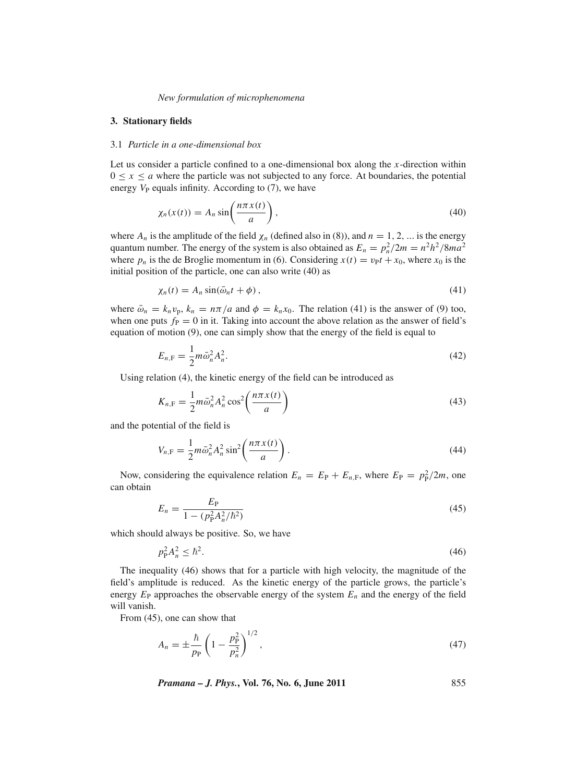### **3. Stationary fields**

### 3.1 *Particle in a one-dimensional box*

Let us consider a particle confined to a one-dimensional box along the *x*-direction within  $0 \le x \le a$  where the particle was not subjected to any force. At boundaries, the potential energy  $V_P$  equals infinity. According to  $(7)$ , we have

$$
\chi_n(x(t)) = A_n \sin\left(\frac{n\pi x(t)}{a}\right),\tag{40}
$$

where  $A_n$  is the amplitude of the field  $\chi_n$  (defined also in (8)), and  $n = 1, 2, ...$  is the energy quantum number. The energy of the system is also obtained as  $E_n = p_n^2/2m = n^2h^2/8ma^2$ where  $p_n$  is the de Broglie momentum in (6). Considering  $x(t) = v_P t + x_0$ , where  $x_0$  is the initial position of the particle, one can also write (40) as

$$
\chi_n(t) = A_n \sin(\bar{\omega}_n t + \phi), \qquad (41)
$$

where  $\bar{\omega}_n = k_n v_p$ ,  $k_n = n\pi/a$  and  $\phi = k_n x_0$ . The relation (41) is the answer of (9) too, when one puts  $f_P = 0$  in it. Taking into account the above relation as the answer of field's equation of motion (9), one can simply show that the energy of the field is equal to

$$
E_{n,\mathrm{F}} = \frac{1}{2} m \bar{\omega}_n^2 A_n^2.
$$
 (42)

Using relation (4), the kinetic energy of the field can be introduced as

$$
K_{n,\mathrm{F}} = \frac{1}{2}m\bar{\omega}_n^2 A_n^2 \cos^2\left(\frac{n\pi x(t)}{a}\right) \tag{43}
$$

and the potential of the field is

$$
V_{n,\mathrm{F}} = \frac{1}{2}m\bar{\omega}_n^2 A_n^2 \sin^2\left(\frac{n\pi x(t)}{a}\right). \tag{44}
$$

Now, considering the equivalence relation  $E_n = E_P + E_{n,F}$ , where  $E_P = p_P^2/2m$ , one can obtain

$$
E_n = \frac{E_P}{1 - (p_P^2 A_n^2 / \hbar^2)}
$$
(45)

which should always be positive. So, we have

$$
p_P^2 A_n^2 \le \hbar^2. \tag{46}
$$

The inequality (46) shows that for a particle with high velocity, the magnitude of the field's amplitude is reduced. As the kinetic energy of the particle grows, the particle's energy  $E_P$  approaches the observable energy of the system  $E_n$  and the energy of the field will vanish.

From (45), one can show that

$$
A_n = \pm \frac{\hbar}{p_P} \left( 1 - \frac{p_P^2}{p_n^2} \right)^{1/2},\tag{47}
$$

*Pramana – J. Phys.***, Vol. 76, No. 6, June 2011** 855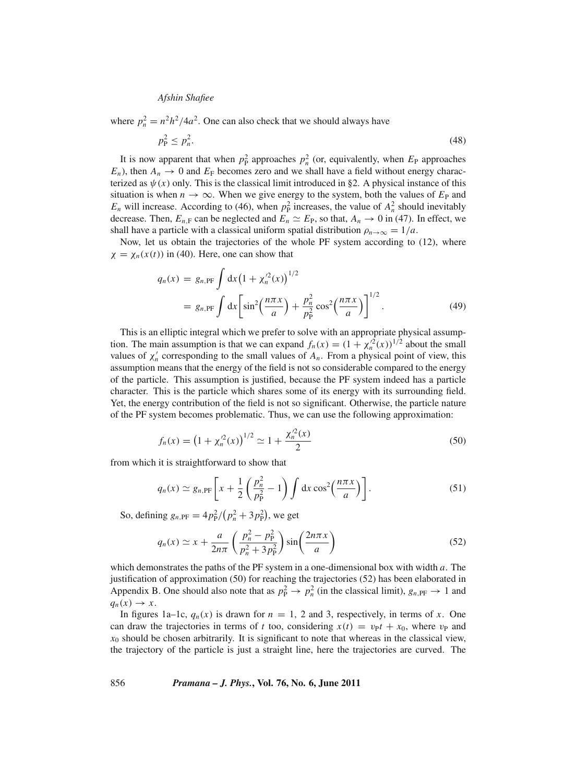where  $p_n^2 = n^2 h^2 / 4a^2$ . One can also check that we should always have

$$
p_P^2 \le p_n^2. \tag{48}
$$

It is now apparent that when  $p_P^2$  approaches  $p_n^2$  (or, equivalently, when  $E_P$  approaches  $E_n$ ), then  $A_n \to 0$  and  $E_F$  becomes zero and we shall have a field without energy characterized as  $\psi(x)$  only. This is the classical limit introduced in §2. A physical instance of this situation is when  $n \to \infty$ . When we give energy to the system, both the values of  $E_P$  and  $E_n$  will increase. According to (46), when  $p_P^2$  increases, the value of  $A_n^2$  should inevitably decrease. Then,  $E_{n,F}$  can be neglected and  $E_n \simeq E_P$ , so that,  $A_n \to 0$  in (47). In effect, we shall have a particle with a classical uniform spatial distribution  $\rho_{n\to\infty} = 1/a$ .

Now, let us obtain the trajectories of the whole PF system according to (12), where  $\chi = \chi_n(x(t))$  in (40). Here, one can show that

$$
q_n(x) = g_{n,\text{PF}} \int \mathrm{d}x \left(1 + \chi_n'^2(x)\right)^{1/2}
$$
  
=  $g_{n,\text{PF}} \int \mathrm{d}x \left[\sin^2\left(\frac{n\pi x}{a}\right) + \frac{p_n^2}{p_p^2} \cos^2\left(\frac{n\pi x}{a}\right)\right]^{1/2}.$  (49)

This is an elliptic integral which we prefer to solve with an appropriate physical assumption. The main assumption is that we can expand  $f_n(x) = (1 + \chi_n^2(x))^{1/2}$  about the small values of  $\chi'_n$  corresponding to the small values of  $A_n$ . From a physical point of view, this assumption means that the energy of the field is not so considerable compared to the energy of the particle. This assumption is justified, because the PF system indeed has a particle character. This is the particle which shares some of its energy with its surrounding field. Yet, the energy contribution of the field is not so significant. Otherwise, the particle nature of the PF system becomes problematic. Thus, we can use the following approximation:

$$
f_n(x) = \left(1 + \chi_n^2(x)\right)^{1/2} \simeq 1 + \frac{\chi_n^2(x)}{2} \tag{50}
$$

from which it is straightforward to show that

$$
q_n(x) \simeq g_{n,\text{PF}} \left[ x + \frac{1}{2} \left( \frac{p_n^2}{p_\text{P}^2} - 1 \right) \int \mathrm{d}x \cos^2 \left( \frac{n \pi x}{a} \right) \right]. \tag{51}
$$

So, defining  $g_{n,PF} = 4p_P^2/(p_n^2 + 3p_P^2)$ , we get

$$
q_n(x) \simeq x + \frac{a}{2n\pi} \left( \frac{p_n^2 - p_p^2}{p_n^2 + 3p_p^2} \right) \sin\left( \frac{2n\pi x}{a} \right) \tag{52}
$$

which demonstrates the paths of the PF system in a one-dimensional box with width *a*. The justification of approximation (50) for reaching the trajectories (52) has been elaborated in Appendix B. One should also note that as  $p_P^2 \to p_n^2$  (in the classical limit),  $g_{n,PF} \to 1$  and  $q_n(x) \rightarrow x$ .

In figures 1a–1c,  $q_n(x)$  is drawn for  $n = 1$ , 2 and 3, respectively, in terms of *x*. One can draw the trajectories in terms of *t* too, considering  $x(t) = v_{\text{P}}t + x_0$ , where  $v_{\text{P}}$  and  $x<sub>0</sub>$  should be chosen arbitrarily. It is significant to note that whereas in the classical view, the trajectory of the particle is just a straight line, here the trajectories are curved. The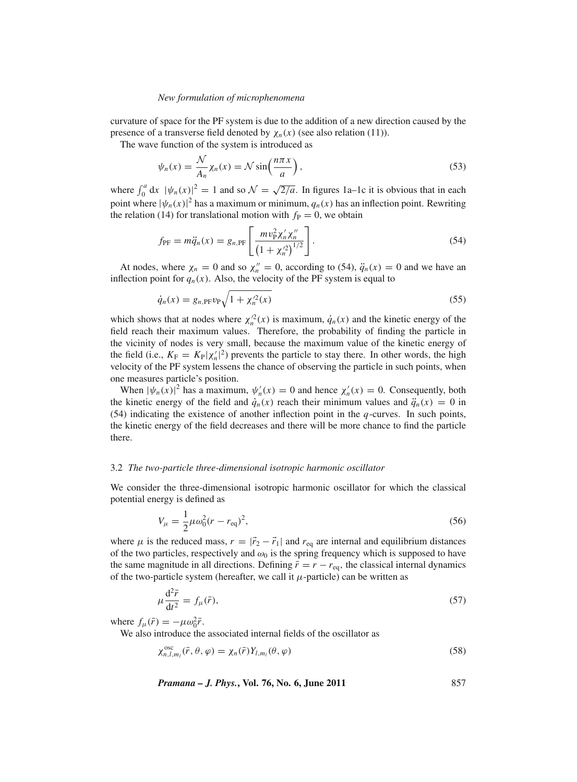curvature of space for the PF system is due to the addition of a new direction caused by the presence of a transverse field denoted by  $\chi_n(x)$  (see also relation (11)).

The wave function of the system is introduced as

$$
\psi_n(x) = \frac{\mathcal{N}}{A_n} \chi_n(x) = \mathcal{N} \sin\left(\frac{n\pi x}{a}\right),\tag{53}
$$

where  $\int_0^a dx$   $|\psi_n(x)|^2 = 1$  and so  $\mathcal{N} = \sqrt{\frac{2}{a}}$ . In figures 1a–1c it is obvious that in each point where  $|\psi_n(x)|^2$  has a maximum or minimum,  $q_n(x)$  has an inflection point. Rewriting the relation (14) for translational motion with  $f<sub>P</sub> = 0$ , we obtain

$$
f_{\rm PF} = m\ddot{q}_n(x) = g_{n,\rm PF} \left[ \frac{m v_{\rm P}^2 \chi_n' \chi_n''}{\left(1 + \chi_n'^2\right)^{1/2}} \right].
$$
 (54)

At nodes, where  $\chi_n = 0$  and so  $\chi_n'' = 0$ , according to (54),  $\ddot{q}_n(x) = 0$  and we have an inflection point for  $q_n(x)$ . Also, the velocity of the PF system is equal to

$$
\dot{q}_n(x) = g_{n,\text{PF}} v_{\text{PV}} \sqrt{1 + \chi_n^2(x)}\tag{55}
$$

which shows that at nodes where  $\chi_n^2(x)$  is maximum,  $\dot{q}_n(x)$  and the kinetic energy of the field reach their maximum values. Therefore, the probability of finding the particle in the vicinity of nodes is very small, because the maximum value of the kinetic energy of the field (i.e.,  $K_F = K_P |\chi'_n|^2$ ) prevents the particle to stay there. In other words, the high velocity of the PF system lessens the chance of observing the particle in such points, when one measures particle's position.

When  $|\psi_n(x)|^2$  has a maximum,  $\psi'_n(x) = 0$  and hence  $\chi'_n(x) = 0$ . Consequently, both the kinetic energy of the field and  $\dot{q}_n(x)$  reach their minimum values and  $\ddot{q}_n(x) = 0$  in (54) indicating the existence of another inflection point in the *q*-curves. In such points, the kinetic energy of the field decreases and there will be more chance to find the particle there.

#### 3.2 *The two-particle three-dimensional isotropic harmonic oscillator*

We consider the three-dimensional isotropic harmonic oscillator for which the classical potential energy is defined as

$$
V_{\mu} = \frac{1}{2} \mu \omega_0^2 (r - r_{\text{eq}})^2,\tag{56}
$$

where  $\mu$  is the reduced mass,  $r = |\vec{r}_2 - \vec{r}_1|$  and  $r_{eq}$  are internal and equilibrium distances of the two particles, respectively and  $\omega_0$  is the spring frequency which is supposed to have the same magnitude in all directions. Defining  $\bar{r} = r - r_{eq}$ , the classical internal dynamics of the two-particle system (hereafter, we call it  $\mu$ -particle) can be written as

$$
\mu \frac{\mathrm{d}^2 \bar{r}}{\mathrm{d}t^2} = f_\mu(\bar{r}),\tag{57}
$$

where  $f_{\mu}(\bar{r}) = -\mu \omega_0^2 \bar{r}$ .

We also introduce the associated internal fields of the oscillator as

$$
\chi_{n,l,m_l}^{\text{osc}}(\bar{r},\theta,\varphi)=\chi_n(\bar{r})Y_{l,m_l}(\theta,\varphi)
$$
\n(58)

*Pramana – J. Phys.***, Vol. 76, No. 6, June 2011** 857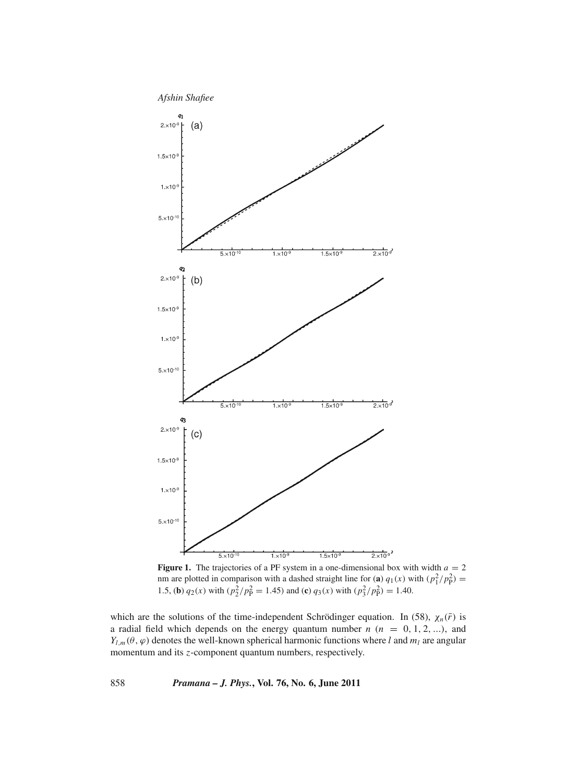

**Figure 1.** The trajectories of a PF system in a one-dimensional box with width  $a = 2$ nm are plotted in comparison with a dashed straight line for (a)  $q_1(x)$  with  $\left(\frac{p_1^2}{p_P^2}\right)$  = 1.5, (**b**)  $q_2(x)$  with  $\left(\frac{p_2^2}{p_P^2} = 1.45\right)$  and (**c**)  $q_3(x)$  with  $\left(\frac{p_3^2}{p_P^2}\right) = 1.40$ .

which are the solutions of the time-independent Schrödinger equation. In (58),  $\chi_n(\bar{r})$  is a radial field which depends on the energy quantum number  $n$  ( $n = 0, 1, 2, ...$ ), and  $Y_{l,m}(\theta, \varphi)$  denotes the well-known spherical harmonic functions where *l* and  $m_l$  are angular momentum and its *z*-component quantum numbers, respectively.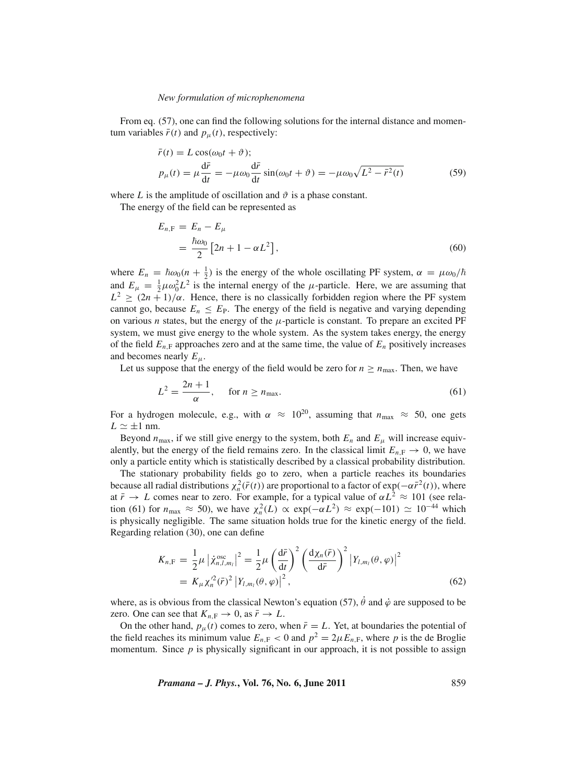From eq. (57), one can find the following solutions for the internal distance and momentum variables  $\bar{r}(t)$  and  $p_{\mu}(t)$ , respectively:

$$
\bar{r}(t) = L \cos(\omega_0 t + \vartheta);
$$
\n
$$
p_{\mu}(t) = \mu \frac{d\bar{r}}{dt} = -\mu \omega_0 \frac{d\bar{r}}{dt} \sin(\omega_0 t + \vartheta) = -\mu \omega_0 \sqrt{L^2 - \bar{r}^2(t)}
$$
\n(59)

where *L* is the amplitude of oscillation and  $\vartheta$  is a phase constant.

The energy of the field can be represented as

$$
E_{n,\mathrm{F}} = E_n - E_\mu
$$
  
= 
$$
\frac{\hbar \omega_0}{2} [2n + 1 - \alpha L^2],
$$
 (60)

where  $E_n = \hbar \omega_0 (n + \frac{1}{2})$  is the energy of the whole oscillating PF system,  $\alpha = \mu \omega_0 / \hbar$ and  $E_{\mu} = \frac{1}{2}\mu\omega_0^2 L^2$  is the internal energy of the  $\mu$ -particle. Here, we are assuming that  $L^2 \ge (2n + 1)/\alpha$ . Hence, there is no classically forbidden region where the PF system cannot go, because  $E_n \leq E_P$ . The energy of the field is negative and varying depending on various *n* states, but the energy of the  $\mu$ -particle is constant. To prepare an excited PF system, we must give energy to the whole system. As the system takes energy, the energy of the field  $E_{n,F}$  approaches zero and at the same time, the value of  $E_n$  positively increases and becomes nearly  $E_\mu$ .

Let us suppose that the energy of the field would be zero for  $n \ge n_{\text{max}}$ . Then, we have

$$
L^2 = \frac{2n+1}{\alpha}, \quad \text{for } n \ge n_{\text{max}}.\tag{61}
$$

For a hydrogen molecule, e.g., with  $\alpha \approx 10^{20}$ , assuming that  $n_{\text{max}} \approx 50$ , one gets  $L \simeq \pm 1$  nm.

Beyond  $n_{\text{max}}$ , if we still give energy to the system, both  $E_n$  and  $E_\mu$  will increase equivalently, but the energy of the field remains zero. In the classical limit  $E_{n,F} \to 0$ , we have only a particle entity which is statistically described by a classical probability distribution.

The stationary probability fields go to zero, when a particle reaches its boundaries because all radial distributions  $\chi_n^2(\bar{r}(t))$  are proportional to a factor of  $\exp(-\alpha \bar{r}^2(t))$ , where at  $\bar{r} \to L$  comes near to zero. For example, for a typical value of  $\alpha L^2 \approx 101$  (see relation (61) for  $n_{\text{max}} \approx 50$ ), we have  $\chi_n^2(L) \propto \exp(-\alpha L^2) \approx \exp(-101) \simeq 10^{-44}$  which is physically negligible. The same situation holds true for the kinetic energy of the field. Regarding relation (30), one can define

$$
K_{n,\mathrm{F}} = \frac{1}{2}\mu \left| \dot{\chi}_{n,l,m_l}^{\mathrm{osc}} \right|^2 = \frac{1}{2}\mu \left( \frac{\mathrm{d}\bar{r}}{\mathrm{d}t} \right)^2 \left( \frac{\mathrm{d}\chi_n(\bar{r})}{\mathrm{d}\bar{r}} \right)^2 \left| Y_{l,m_l}(\theta,\varphi) \right|^2
$$
  
=  $K_\mu \chi_n'^2(\bar{r})^2 \left| Y_{l,m_l}(\theta,\varphi) \right|^2,$  (62)

where, as is obvious from the classical Newton's equation (57),  $\dot{\theta}$  and  $\dot{\varphi}$  are supposed to be zero. One can see that  $K_{n,F} \to 0$ , as  $\bar{r} \to L$ .

On the other hand,  $p_{\mu}(t)$  comes to zero, when  $\bar{r} = L$ . Yet, at boundaries the potential of the field reaches its minimum value  $E_{n,F}$  < 0 and  $p^2 = 2\mu E_{n,F}$ , where p is the de Broglie momentum. Since  $p$  is physically significant in our approach, it is not possible to assign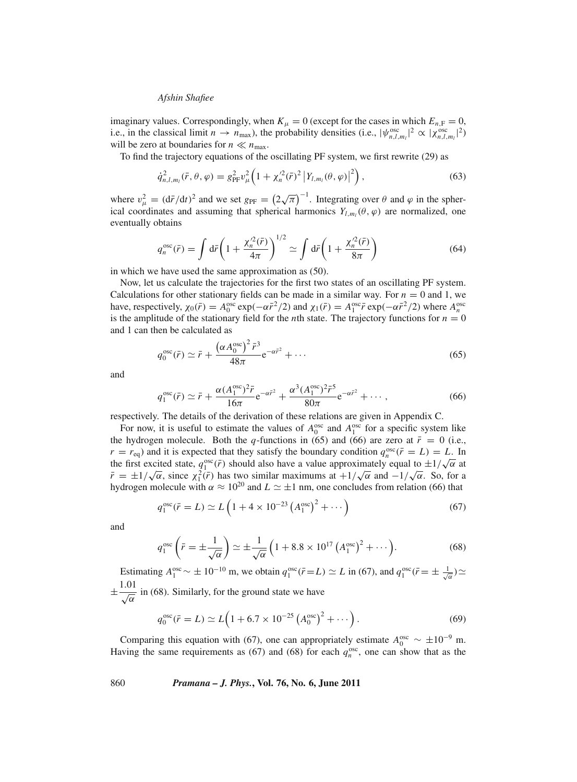imaginary values. Correspondingly, when  $K_{\mu} = 0$  (except for the cases in which  $E_{n,F} = 0$ , i.e., in the classical limit  $n \to n_{\text{max}}$ ), the probability densities (i.e.,  $|\psi_{n,l,m_l}^{\text{osc}}|^2 \propto |\chi_{n,l,m_l}^{\text{osc}}|^2$ ) will be zero at boundaries for  $n \ll n_{\text{max}}$ .

To find the trajectory equations of the oscillating PF system, we first rewrite (29) as

$$
\dot{q}_{n,l,m_l}^2(\bar{r},\theta,\varphi) = g_{\rm PF}^2 v_\mu^2 \Big( 1 + \chi_n^{\prime 2}(\bar{r})^2 \left| Y_{l,m_l}(\theta,\varphi) \right|^2 \Big), \tag{63}
$$

where  $v_{\mu}^2 = (\mathrm{d}\bar{r}/\mathrm{d}t)^2$  and we set  $g_{\text{PF}} = (2\sqrt{\pi})^{-1}$ . Integrating over  $\theta$  and  $\varphi$  in the spherical coordinates and assuming that spherical harmonics  $Y_{l,m_l}(\theta, \varphi)$  are normalized, one eventually obtains

$$
q_n^{\text{osc}}(\bar{r}) = \int d\bar{r} \left( 1 + \frac{\chi_n^{\prime 2}(\bar{r})}{4\pi} \right)^{1/2} \simeq \int d\bar{r} \left( 1 + \frac{\chi_n^{\prime 2}(\bar{r})}{8\pi} \right) \tag{64}
$$

in which we have used the same approximation as (50).

Now, let us calculate the trajectories for the first two states of an oscillating PF system. Calculations for other stationary fields can be made in a similar way. For  $n = 0$  and 1, we have, respectively,  $\chi_0(\bar{r}) = A_0^{\text{osc}} \exp(-\alpha \bar{r}^2/2)$  and  $\chi_1(\bar{r}) = A_1^{\text{osc}} \bar{r} \exp(-\alpha \bar{r}^2/2)$  where  $A_n^{\text{osc}}$ is the amplitude of the stationary field for the *n*th state. The trajectory functions for  $n = 0$ and 1 can then be calculated as

$$
q_0^{\text{osc}}(\bar{r}) \simeq \bar{r} + \frac{\left(\alpha A_0^{\text{osc}}\right)^2 \bar{r}^3}{48\pi} e^{-\alpha \bar{r}^2} + \cdots
$$
 (65)

and

$$
q_1^{\text{osc}}(\bar{r}) \simeq \bar{r} + \frac{\alpha (A_1^{\text{osc}})^2 \bar{r}}{16\pi} e^{-\alpha \bar{r}^2} + \frac{\alpha^3 (A_1^{\text{osc}})^2 \bar{r}^5}{80\pi} e^{-\alpha \bar{r}^2} + \cdots,
$$
 (66)

respectively. The details of the derivation of these relations are given in Appendix C.

For now, it is useful to estimate the values of  $A_0^{\text{osc}}$  and  $A_1^{\text{osc}}$  for a specific system like the hydrogen molecule. Both the *q*-functions in (65) and (66) are zero at  $\bar{r} = 0$  (i.e.,  $r = r_{eq}$ ) and it is expected that they satisfy the boundary condition  $q_n^{\text{osc}}(\bar{r} = L) = L$ . In  $t = t_{eq}$ ) and it is expected that they satisfy the boundary condition  $q_n$   $(t = L) = L$ . In the first excited state,  $q_1^{\text{osc}}(\bar{r})$  should also have a value approximately equal to  $\pm 1/\sqrt{\alpha}$  at  $\bar{r} = \pm 1/\sqrt{\alpha}$ , since  $\chi_1^2(\bar{r})$  has two similar maximums at  $+1/\sqrt{\alpha}$  and  $-1/\sqrt{\alpha}$ . So, for a hydrogen molecule with  $\alpha \approx 10^{20}$  and  $L \simeq \pm 1$  nm, one concludes from relation (66) that

$$
q_1^{\text{osc}}(\bar{r}=L) \simeq L\left(1 + 4 \times 10^{-23} \left(A_1^{\text{osc}}\right)^2 + \cdots\right)
$$
 (67)

and

$$
q_1^{\text{osc}}\left(\bar{r} = \pm \frac{1}{\sqrt{\alpha}}\right) \simeq \pm \frac{1}{\sqrt{\alpha}} \left(1 + 8.8 \times 10^{17} \left(A_1^{\text{osc}}\right)^2 + \cdots\right).
$$
 (68)

Estimating  $A_1^{\text{osc}} \sim \pm 10^{-10}$  m, we obtain  $q_1^{\text{osc}}(\bar{r}=L) \simeq L$  in (67), and  $q_1^{\text{osc}}(\bar{r}=\pm \frac{1}{\sqrt{\alpha}}) \simeq$  $\pm \frac{1.01}{\sqrt{\alpha}}$  in (68). Similarly, for the ground state we have

$$
q_0^{\text{osc}}(\bar{r} = L) \simeq L\Big(1 + 6.7 \times 10^{-25} \left(A_0^{\text{osc}}\right)^2 + \cdots\Big).
$$
 (69)

Comparing this equation with (67), one can appropriately estimate  $A_0^{\text{osc}} \sim \pm 10^{-9}$  m. Having the same requirements as (67) and (68) for each  $q_n^{\text{osc}}$ , one can show that as the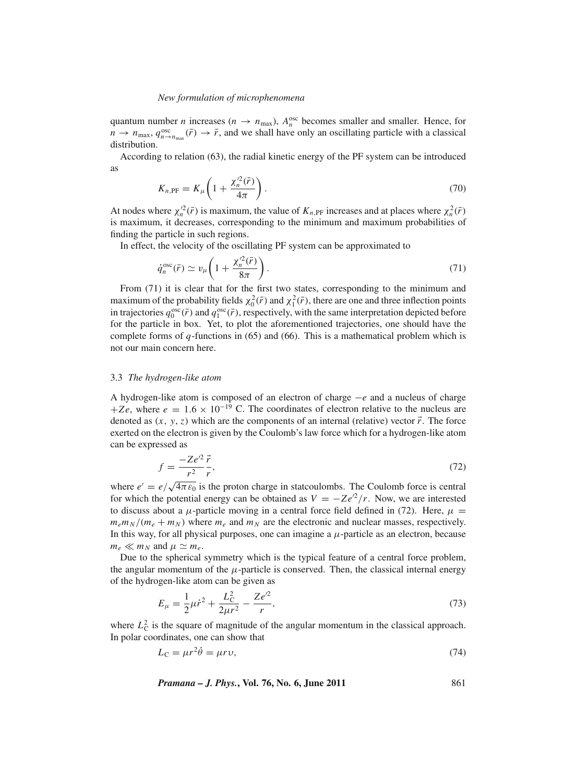quantum number *n* increases ( $n \to n_{\text{max}}$ ),  $A_n^{\text{osc}}$  becomes smaller and smaller. Hence, for  $n \to n_{\text{max}}$ ,  $q_{n \to n_{\text{max}}}^{\text{osc}}(\bar{r}) \to \bar{r}$ , and we shall have only an oscillating particle with a classical distribution.

According to relation (63), the radial kinetic energy of the PF system can be introduced as

$$
K_{n,\text{PF}} = K_{\mu} \left( 1 + \frac{\chi_n'^2(\bar{r})}{4\pi} \right). \tag{70}
$$

At nodes where  $\chi_n^2(\bar{r})$  is maximum, the value of  $K_{n,PF}$  increases and at places where  $\chi_n^2(\bar{r})$ is maximum, it decreases, corresponding to the minimum and maximum probabilities of finding the particle in such regions.

In effect, the velocity of the oscillating PF system can be approximated to

$$
\dot{q}_n^{\text{osc}}(\bar{r}) \simeq v_\mu \bigg( 1 + \frac{\chi_n^{\prime 2}(\bar{r})}{8\pi} \bigg). \tag{71}
$$

From (71) it is clear that for the first two states, corresponding to the minimum and maximum of the probability fields  $\chi_0^2(\bar{r})$  and  $\chi_1^2(\bar{r})$ , there are one and three inflection points in trajectories  $q_0^{\text{osc}}(\vec{r})$  and  $q_1^{\text{osc}}(\vec{r})$ , respectively, with the same interpretation depicted before for the particle in box. Yet, to plot the aforementioned trajectories, one should have the complete forms of *q*-functions in (65) and (66). This is a mathematical problem which is not our main concern here.

#### 3.3 *The hydrogen-like atom*

A hydrogen-like atom is composed of an electron of charge −*e* and a nucleus of charge +*Ze*, where  $e = 1.6 \times 10^{-19}$  C. The coordinates of electron relative to the nucleus are denoted as  $(x, y, z)$  which are the components of an internal (relative) vector  $\vec{r}$ . The force exerted on the electron is given by the Coulomb's law force which for a hydrogen-like atom can be expressed as

$$
f = \frac{-Ze^2 \vec{r}}{r^2},\tag{72}
$$

where  $e' = e/\sqrt{4\pi \varepsilon_0}$  is the proton charge in statcoulombs. The Coulomb force is central for which the potential energy can be obtained as  $V = -Ze^{2}/r$ . Now, we are interested to discuss about a  $\mu$ -particle moving in a central force field defined in (72). Here,  $\mu$  =  $m_e m_N / (m_e + m_N)$  where  $m_e$  and  $m_N$  are the electronic and nuclear masses, respectively. In this way, for all physical purposes, one can imagine a  $\mu$ -particle as an electron, because  $m_e \ll m_N$  and  $\mu \simeq m_e$ .

Due to the spherical symmetry which is the typical feature of a central force problem, the angular momentum of the  $\mu$ -particle is conserved. Then, the classical internal energy of the hydrogen-like atom can be given as

$$
E_{\mu} = \frac{1}{2}\mu \dot{r}^2 + \frac{L_C^2}{2\mu r^2} - \frac{Ze^2}{r},\tag{73}
$$

where  $L<sub>C</sub><sup>2</sup>$  is the square of magnitude of the angular momentum in the classical approach. In polar coordinates, one can show that

$$
L_{\rm C} = \mu r^2 \dot{\theta} = \mu r v,\tag{74}
$$

*Pramana – J. Phys.***, Vol. 76, No. 6, June 2011** 861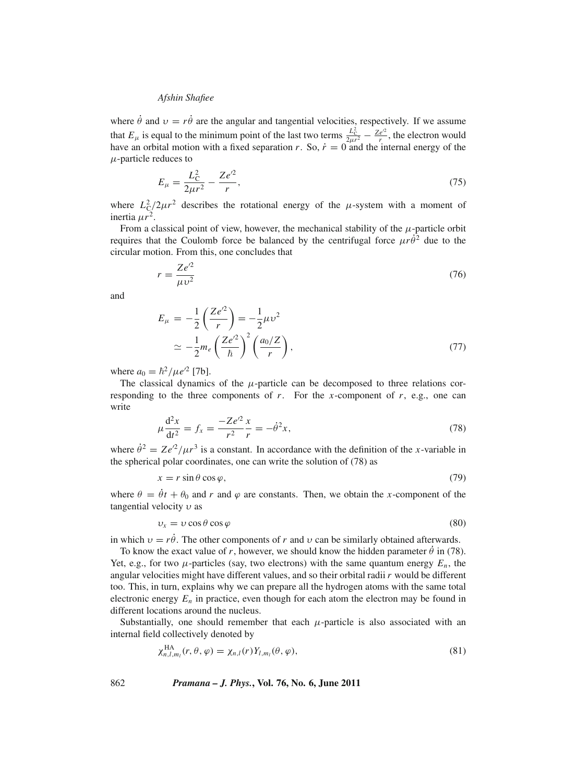where  $\dot{\theta}$  and  $v = r\dot{\theta}$  are the angular and tangential velocities, respectively. If we assume that  $E_{\mu}$  is equal to the minimum point of the last two terms  $\frac{L_c^2}{2\mu r^2} - \frac{Ze^2}{r}$ , the electron would have an orbital motion with a fixed separation  $r$ . So,  $\dot{r} = 0$  and the internal energy of the  $\mu$ -particle reduces to

$$
E_{\mu} = \frac{L_{\rm C}^2}{2\mu r^2} - \frac{Ze^{\prime 2}}{r},\tag{75}
$$

where  $L_C^2/2\mu r^2$  describes the rotational energy of the  $\mu$ -system with a moment of inertia  $\mu r^2$ .

From a classical point of view, however, the mechanical stability of the  $\mu$ -particle orbit requires that the Coulomb force be balanced by the centrifugal force  $\mu r \dot{\theta}^2$  due to the circular motion. From this, one concludes that

$$
r = \frac{Ze^2}{\mu v^2} \tag{76}
$$

and

$$
E_{\mu} = -\frac{1}{2} \left( \frac{Ze^2}{r} \right) = -\frac{1}{2} \mu v^2
$$
  
\n
$$
\approx -\frac{1}{2} m_e \left( \frac{Ze^2}{\hbar} \right)^2 \left( \frac{a_0/Z}{r} \right),
$$
\n(77)

where  $a_0 = \hbar^2 / \mu e^{i2}$  [7b].

The classical dynamics of the  $\mu$ -particle can be decomposed to three relations corresponding to the three components of *r*. For the *x*-component of *r*, e.g., one can write

$$
\mu \frac{d^2 x}{dt^2} = f_x = \frac{-Ze'^2 x}{r^2 r} = -\dot{\theta}^2 x,\tag{78}
$$

where  $\dot{\theta}^2 = Ze^{2}/\mu r^3$  is a constant. In accordance with the definition of the *x*-variable in the spherical polar coordinates, one can write the solution of (78) as

$$
x = r\sin\theta\cos\varphi,\tag{79}
$$

where  $\theta = \dot{\theta}t + \theta_0$  and r and  $\varphi$  are constants. Then, we obtain the *x*-component of the tangential velocity  $\nu$  as

$$
v_x = v \cos \theta \cos \varphi \tag{80}
$$

in which  $v = r\dot{\theta}$ . The other components of *r* and *v* can be similarly obtained afterwards.

To know the exact value of *r*, however, we should know the hidden parameter  $\dot{\theta}$  in (78). Yet, e.g., for two  $\mu$ -particles (say, two electrons) with the same quantum energy  $E_n$ , the angular velocities might have different values, and so their orbital radii *r* would be different too. This, in turn, explains why we can prepare all the hydrogen atoms with the same total electronic energy  $E_n$  in practice, even though for each atom the electron may be found in different locations around the nucleus.

Substantially, one should remember that each  $\mu$ -particle is also associated with an internal field collectively denoted by

$$
\chi_{n,l,m_l}^{\text{HA}}(r,\theta,\varphi)=\chi_{n,l}(r)Y_{l,m_l}(\theta,\varphi),\tag{81}
$$

862 *Pramana – J. Phys.***, Vol. 76, No. 6, June 2011**

 $\overline{X}$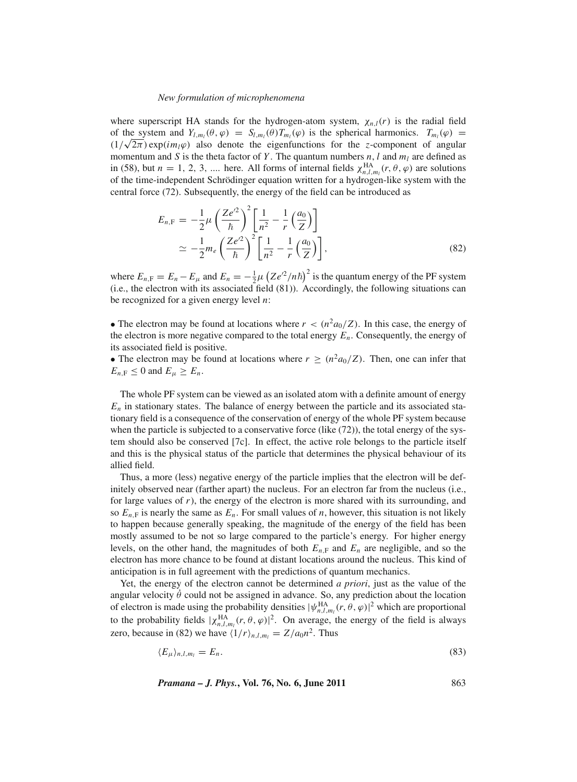where superscript HA stands for the hydrogen-atom system,  $\chi_{n,l}(r)$  is the radial field of the system and  $Y_{l,m_l}(\theta, \varphi) = S_{l,m_l}(\theta) T_{m_l}(\varphi)$  is the spherical harmonics.  $T_{m_l}(\varphi) =$ (1/ $\sqrt{2\pi}$ ) exp(*im<sub>l</sub>* $\varphi$ ) also denote the eigenfunctions for the *z*-component of angular momentum and *S* is the theta factor of *Y*. The quantum numbers  $n$ , *l* and  $m_l$  are defined as in (58), but  $n = 1, 2, 3, ...$  here. All forms of internal fields  $\chi_{n,l,m_l}^{\text{HA}}(r, \theta, \varphi)$  are solutions of the time-independent Schrödinger equation written for a hydrogen-like system with the central force (72). Subsequently, the energy of the field can be introduced as

$$
E_{n,\mathrm{F}} = -\frac{1}{2}\mu \left(\frac{Ze'^2}{\hbar}\right)^2 \left[\frac{1}{n^2} - \frac{1}{r}\left(\frac{a_0}{Z}\right)\right]
$$
  

$$
\simeq -\frac{1}{2}m_e \left(\frac{Ze'^2}{\hbar}\right)^2 \left[\frac{1}{n^2} - \frac{1}{r}\left(\frac{a_0}{Z}\right)\right],
$$
 (82)

where  $E_{n,F} = E_n - E_\mu$  and  $E_n = -\frac{1}{2}\mu (Ze^{i2}/n\hbar)^2$  is the quantum energy of the PF system (i.e., the electron with its associated field (81)). Accordingly, the following situations can be recognized for a given energy level *n*:

• The electron may be found at locations where  $r < (n^2 a_0/Z)$ . In this case, the energy of the electron is more negative compared to the total energy  $E_n$ . Consequently, the energy of its associated field is positive.

• The electron may be found at locations where  $r \ge (n^2 a_0/Z)$ . Then, one can infer that  $E_{n,F} \leq 0$  and  $E_{\mu} \geq E_n$ .

The whole PF system can be viewed as an isolated atom with a definite amount of energy  $E_n$  in stationary states. The balance of energy between the particle and its associated stationary field is a consequence of the conservation of energy of the whole PF system because when the particle is subjected to a conservative force (like (72)), the total energy of the system should also be conserved [7c]. In effect, the active role belongs to the particle itself and this is the physical status of the particle that determines the physical behaviour of its allied field.

Thus, a more (less) negative energy of the particle implies that the electron will be definitely observed near (farther apart) the nucleus. For an electron far from the nucleus (i.e., for large values of  $r$ ), the energy of the electron is more shared with its surrounding, and so  $E_{n,F}$  is nearly the same as  $E_n$ . For small values of *n*, however, this situation is not likely to happen because generally speaking, the magnitude of the energy of the field has been mostly assumed to be not so large compared to the particle's energy. For higher energy levels, on the other hand, the magnitudes of both  $E_{n,F}$  and  $E_n$  are negligible, and so the electron has more chance to be found at distant locations around the nucleus. This kind of anticipation is in full agreement with the predictions of quantum mechanics.

Yet, the energy of the electron cannot be determined *a priori*, just as the value of the angular velocity  $\dot{\theta}$  could not be assigned in advance. So, any prediction about the location of electron is made using the probability densities  $|\psi_{n,l,m_l}^{\text{HA}}(r,\theta,\varphi)|^2$  which are proportional to the probability fields  $|\chi_{n,l,m_l}^{HA}(r,\theta,\varphi)|^2$ . On average, the energy of the field is always zero, because in (82) we have  $\langle 1/r \rangle_{n,l,m_l} = Z/a_0 n^2$ . Thus

$$
\langle E_{\mu} \rangle_{n,l,m_l} = E_n. \tag{83}
$$

*Pramana – J. Phys.***, Vol. 76, No. 6, June 2011** 863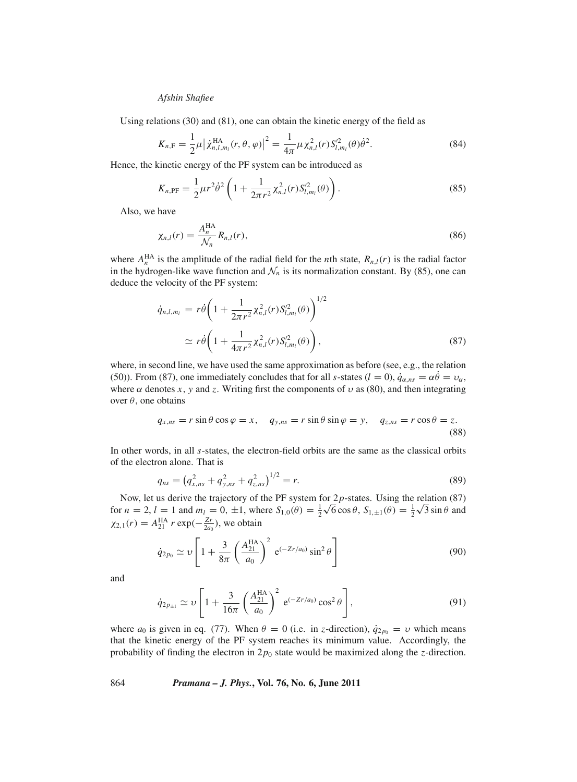Using relations (30) and (81), one can obtain the kinetic energy of the field as

$$
K_{n,\mathrm{F}} = \frac{1}{2}\mu \left| \dot{\chi}_{n,l,m_l}^{\mathrm{HA}}(r,\theta,\varphi) \right|^2 = \frac{1}{4\pi} \mu \chi_{n,l}^2(r) S_{l,m_l}'^2(\theta) \dot{\theta}^2. \tag{84}
$$

Hence, the kinetic energy of the PF system can be introduced as

$$
K_{n,\text{PF}} = \frac{1}{2} \mu r^2 \dot{\theta}^2 \left( 1 + \frac{1}{2\pi r^2} \chi_{n,l}^2(r) S_{l,m_l}^2(\theta) \right). \tag{85}
$$

Also, we have

$$
\chi_{n,l}(r) = \frac{A_n^{\text{HA}}}{\mathcal{N}_n} R_{n,l}(r),\tag{86}
$$

where  $A_n^{\text{HA}}$  is the amplitude of the radial field for the *n*th state,  $R_{n,l}(r)$  is the radial factor in the hydrogen-like wave function and  $\mathcal{N}_n$  is its normalization constant. By (85), one can deduce the velocity of the PF system:

$$
\dot{q}_{n,l,m_l} = r\dot{\theta} \left( 1 + \frac{1}{2\pi r^2} \chi_{n,l}^2(r) S_{l,m_l}^{\prime 2}(\theta) \right)^{1/2} \simeq r\dot{\theta} \left( 1 + \frac{1}{4\pi r^2} \chi_{n,l}^2(r) S_{l,m_l}^{\prime 2}(\theta) \right),
$$
\n(87)

where, in second line, we have used the same approximation as before (see, e.g., the relation (50)). From (87), one immediately concludes that for all *s*-states ( $l = 0$ ),  $\dot{q}_{\alpha,ns} = \alpha \theta = \nu_{\alpha}$ , where  $\alpha$  denotes *x*, *y* and *z*. Writing first the components of  $\nu$  as (80), and then integrating over  $θ$ , one obtains

$$
q_{x,ns} = r \sin \theta \cos \varphi = x, \quad q_{y,ns} = r \sin \theta \sin \varphi = y, \quad q_{z,ns} = r \cos \theta = z.
$$
\n(88)

In other words, in all *s*-states, the electron-field orbits are the same as the classical orbits of the electron alone. That is

$$
q_{ns} = \left(q_{x,ns}^2 + q_{y,ns}^2 + q_{z,ns}^2\right)^{1/2} = r.
$$
\n(89)

Now, let us derive the trajectory of the PF system for 2*p*-states. Using the relation (87) For  $n = 2$ ,  $l = 1$  and  $m_l = 0$ ,  $\pm 1$ , where  $S_{1,0}(\theta) = \frac{1}{2}\sqrt{6}\cos\theta$ ,  $S_{1,\pm 1}(\theta) = \frac{1}{2}\sqrt{3}\sin\theta$  and  $\theta$  $\chi_{2,1}(r) = A_{21}^{\text{HA}} r \exp(-\frac{Zr}{2a_0})$ , we obtain

$$
\dot{q}_{2p_0} \simeq \nu \left[ 1 + \frac{3}{8\pi} \left( \frac{A_{21}^{\text{HA}}}{a_0} \right)^2 e^{(-Zr/a_0)} \sin^2 \theta \right]
$$
(90)

and

$$
\dot{q}_{2p_{\pm 1}} \simeq \upsilon \left[ 1 + \frac{3}{16\pi} \left( \frac{A_{21}^{\text{HA}}}{a_0} \right)^2 e^{(-Zr/a_0)} \cos^2 \theta \right],\tag{91}
$$

where  $a_0$  is given in eq. (77). When  $\theta = 0$  (i.e. in *z*-direction),  $\dot{q}_{2p_0} = v$  which means that the kinetic energy of the PF system reaches its minimum value. Accordingly, the probability of finding the electron in 2*p*<sup>0</sup> state would be maximized along the *z*-direction.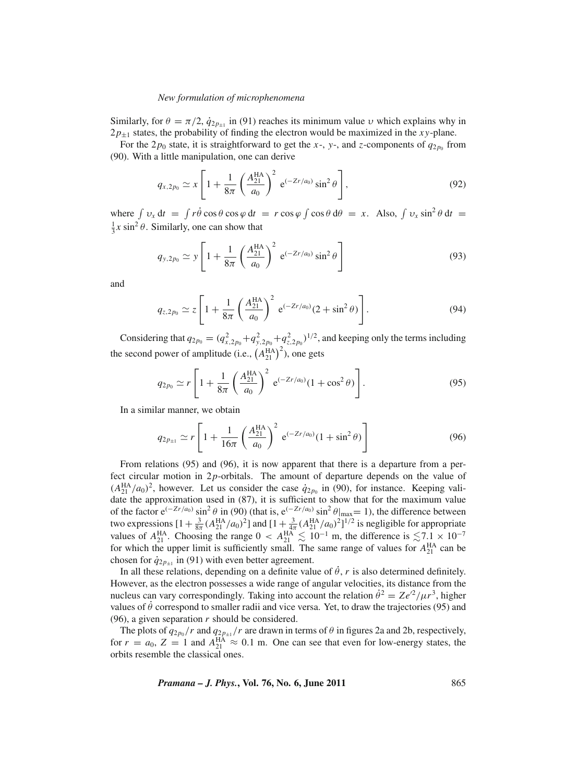Similarly, for  $\theta = \pi/2$ ,  $\dot{q}_{2p_{\pm 1}}$  in (91) reaches its minimum value *v* which explains why in  $2p_{\pm 1}$  states, the probability of finding the electron would be maximized in the *xy*-plane.

For the  $2p_0$  state, it is straightforward to get the *x*-, *y*-, and *z*-components of  $q_{2p_0}$  from (90). With a little manipulation, one can derive

$$
q_{x,2p_0} \simeq x \left[ 1 + \frac{1}{8\pi} \left( \frac{A_{21}^{\text{HA}}}{a_0} \right)^2 e^{(-Zr/a_0)} \sin^2 \theta \right],\tag{92}
$$

where  $\int v_x dt = \int r \dot{\theta} \cos \theta \cos \varphi dt = r \cos \varphi \int \cos \theta d\theta = x$ . Also,  $\int v_x \sin^2 \theta dt =$  $\frac{1}{3}x \sin^2 \theta$ . Similarly, one can show that

$$
q_{y,2p_0} \simeq y \left[ 1 + \frac{1}{8\pi} \left( \frac{A_{21}^{\text{HA}}}{a_0} \right)^2 e^{(-Zr/a_0)} \sin^2 \theta \right]
$$
(93)

and

$$
q_{z,2p_0} \simeq z \left[ 1 + \frac{1}{8\pi} \left( \frac{A_{21}^{\text{HA}}}{a_0} \right)^2 e^{(-Zr/a_0)} (2 + \sin^2 \theta) \right]. \tag{94}
$$

Considering that  $q_{2p_0} = (q_{x,2p_0}^2+q_{y,2p_0}^2+q_{z,2p_0}^2)^{1/2}$ , and keeping only the terms including the second power of amplitude (i.e.,  $(A_{21}^{HA})^2$ ), one gets

$$
q_{2p_0} \simeq r \left[ 1 + \frac{1}{8\pi} \left( \frac{A_{21}^{\text{HA}}}{a_0} \right)^2 e^{(-Zr/a_0)} (1 + \cos^2 \theta) \right]. \tag{95}
$$

In a similar manner, we obtain

$$
q_{2p_{\pm 1}} \simeq r \left[ 1 + \frac{1}{16\pi} \left( \frac{A_{21}^{\text{HA}}}{a_0} \right)^2 e^{(-Zr/a_0)} (1 + \sin^2 \theta) \right]
$$
(96)

From relations (95) and (96), it is now apparent that there is a departure from a perfect circular motion in 2*p*-orbitals. The amount of departure depends on the value of  $(A_{21}^{\text{HA}}/a_0)^2$ , however. Let us consider the case  $\dot{q}_{2p_0}$  in (90), for instance. Keeping validate the approximation used in (87), it is sufficient to show that for the maximum value of the factor  $e^{(-Zr/a_0)} \sin^2 \theta$  in (90) (that is,  $e^{(-Zr/a_0)} \sin^2 \theta|_{\text{max}} = 1$ ), the difference between two expressions  $[1+\frac{3}{8\pi}(A_{21}^{HA}/a_0)^2]$  and  $[1+\frac{3}{4\pi}(A_{21}^{HA}/a_0)^2]^{1/2}$  is negligible for appropriate values of  $A_{21}^{\text{HA}}$ . Choosing the range  $0 < A_{21}^{\text{HA}} \lesssim 10^{-1}$  m, the difference is  $\lesssim 7.1 \times 10^{-7}$ for which the upper limit is sufficiently small. The same range of values for  $A_{21}^{\text{HA}}$  can be chosen for  $\dot{q}_{2p_{+1}}$  in (91) with even better agreement.

In all these relations, depending on a definite value of  $\dot{\theta}$ , *r* is also determined definitely. However, as the electron possesses a wide range of angular velocities, its distance from the nucleus can vary correspondingly. Taking into account the relation  $\dot{\theta}^2 = Ze^{i2}/\mu r^3$ , higher values of  $\dot{\theta}$  correspond to smaller radii and vice versa. Yet, to draw the trajectories (95) and (96), a given separation  $r$  should be considered.

The plots of  $q_{2p_0}/r$  and  $q_{2p_{\pm 1}}/r$  are drawn in terms of  $\theta$  in figures 2a and 2b, respectively, for  $r = a_0$ ,  $Z = 1$  and  $A_{21}^{\text{HA}} \approx 0.1$  m. One can see that even for low-energy states, the orbits resemble the classical ones.

*Pramana – J. Phys.***, Vol. 76, No. 6, June 2011** 865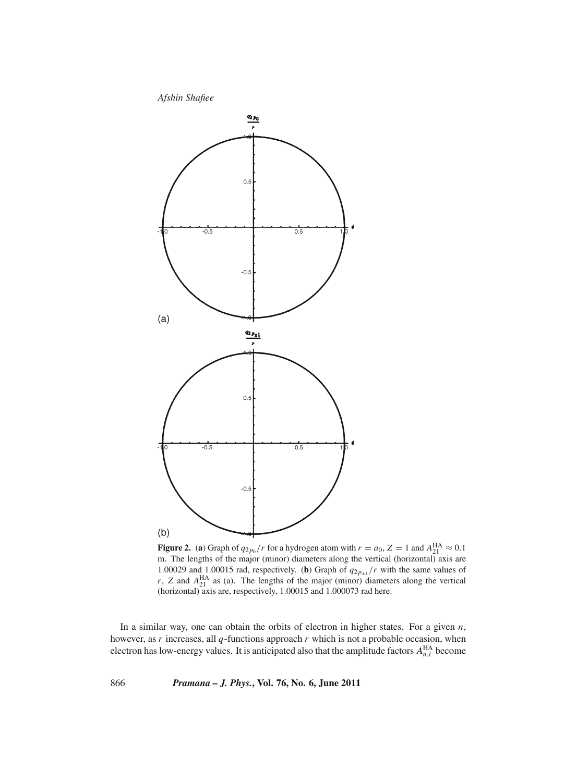

**Figure 2.** (a) Graph of  $q_{2p_0}/r$  for a hydrogen atom with  $r = a_0$ ,  $Z = 1$  and  $A_{21}^{\text{HA}} \approx 0.1$ m. The lengths of the major (minor) diameters along the vertical (horizontal) axis are 1.00029 and 1.00015 rad, respectively. (**b**) Graph of  $q_{2p_{\pm 1}}/r$  with the same values of  $r$ , *Z* and  $A_{21}^{\text{HA}}$  as (a). The lengths of the major (minor) diameters along the vertical (horizontal) axis are, respectively, 1.00015 and 1.000073 rad here.

In a similar way, one can obtain the orbits of electron in higher states. For a given *n*, however, as *r* increases, all *q*-functions approach *r* which is not a probable occasion, when electron has low-energy values. It is anticipated also that the amplitude factors  $A_{n,l}^{\text{HA}}$  become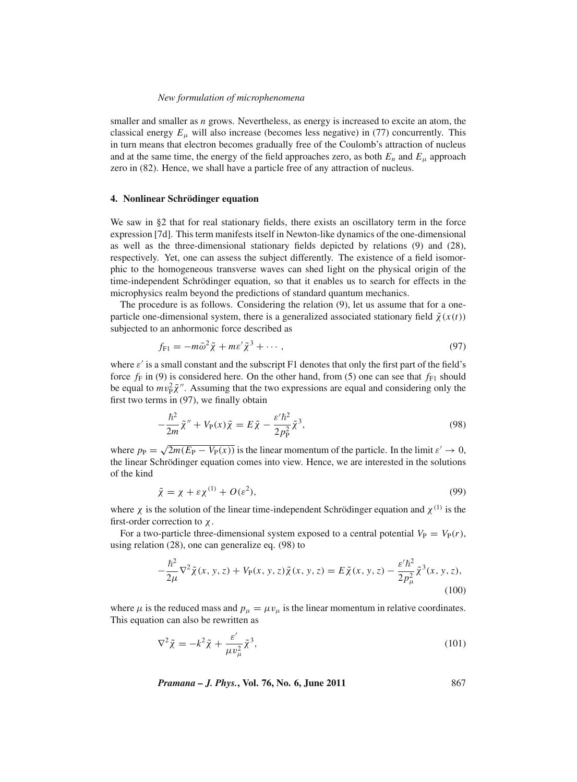smaller and smaller as *n* grows. Nevertheless, as energy is increased to excite an atom, the classical energy  $E_{\mu}$  will also increase (becomes less negative) in (77) concurrently. This in turn means that electron becomes gradually free of the Coulomb's attraction of nucleus and at the same time, the energy of the field approaches zero, as both  $E_n$  and  $E_\mu$  approach zero in (82). Hence, we shall have a particle free of any attraction of nucleus.

### **4. Nonlinear Schrödinger equation**

We saw in §2 that for real stationary fields, there exists an oscillatory term in the force expression [7d]. This term manifests itself in Newton-like dynamics of the one-dimensional as well as the three-dimensional stationary fields depicted by relations (9) and (28), respectively. Yet, one can assess the subject differently. The existence of a field isomorphic to the homogeneous transverse waves can shed light on the physical origin of the time-independent Schrödinger equation, so that it enables us to search for effects in the microphysics realm beyond the predictions of standard quantum mechanics.

The procedure is as follows. Considering the relation (9), let us assume that for a oneparticle one-dimensional system, there is a generalized associated stationary field  $\tilde{\chi}(x(t))$ subjected to an anhormonic force described as

$$
f_{\rm Fl} = -m\bar{\omega}^2 \tilde{\chi} + m\varepsilon' \tilde{\chi}^3 + \cdots, \qquad (97)
$$

where  $\varepsilon'$  is a small constant and the subscript F1 denotes that only the first part of the field's force  $f_F$  in (9) is considered here. On the other hand, from (5) one can see that  $f_{F1}$  should be equal to  $mv_p^2 \tilde{\chi}''$ . Assuming that the two expressions are equal and considering only the first two terms in (97), we finally obtain

$$
-\frac{\hbar^2}{2m}\tilde{\chi}'' + V_P(x)\tilde{\chi} = E\tilde{\chi} - \frac{\varepsilon'\hbar^2}{2p_P^2}\tilde{\chi}^3,\tag{98}
$$

where  $p_P = \sqrt{2m(E_P - V_P(x))}$  is the linear momentum of the particle. In the limit  $\varepsilon' \to 0$ , the linear Schrödinger equation comes into view. Hence, we are interested in the solutions of the kind

$$
\tilde{\chi} = \chi + \varepsilon \chi^{(1)} + O(\varepsilon^2),\tag{99}
$$

where  $\chi$  is the solution of the linear time-independent Schrödinger equation and  $\chi^{(1)}$  is the first-order correction to  $\chi$ .

For a two-particle three-dimensional system exposed to a central potential  $V_P = V_P(r)$ , using relation (28), one can generalize eq. (98) to

$$
-\frac{\hbar^2}{2\mu}\nabla^2 \tilde{\chi}(x, y, z) + V_P(x, y, z)\tilde{\chi}(x, y, z) = E \tilde{\chi}(x, y, z) - \frac{\varepsilon' \hbar^2}{2p_\mu^2} \tilde{\chi}^3(x, y, z),
$$
\n(100)

where  $\mu$  is the reduced mass and  $p_{\mu} = \mu v_{\mu}$  is the linear momentum in relative coordinates. This equation can also be rewritten as

$$
\nabla^2 \tilde{\chi} = -k^2 \tilde{\chi} + \frac{\varepsilon'}{\mu v_\mu^2} \tilde{\chi}^3,\tag{101}
$$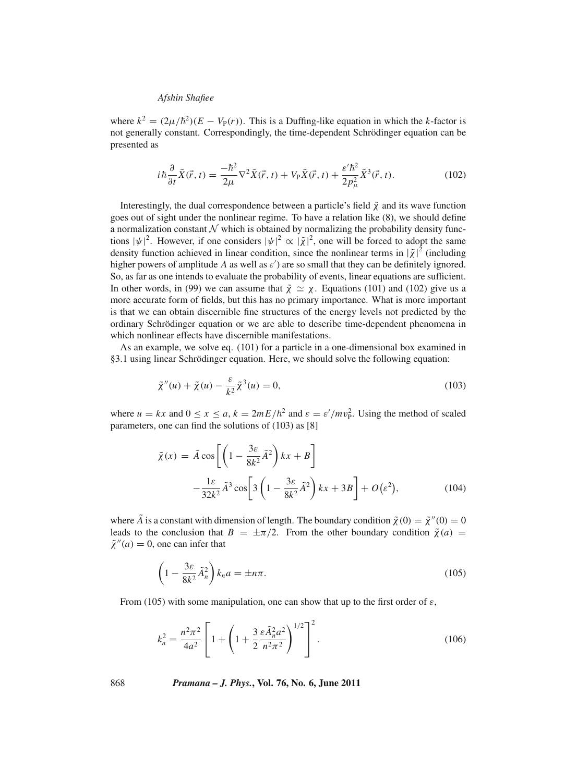where  $k^2 = (2\mu/\hbar^2)(E - V_P(r))$ . This is a Duffing-like equation in which the *k*-factor is not generally constant. Correspondingly, the time-dependent Schrödinger equation can be presented as

$$
i\hbar \frac{\partial}{\partial t}\tilde{X}(\vec{r},t) = \frac{-\hbar^2}{2\mu}\nabla^2 \tilde{X}(\vec{r},t) + V_{\rm P}\tilde{X}(\vec{r},t) + \frac{\varepsilon'\hbar^2}{2p_{\mu}^2}\tilde{X}^3(\vec{r},t). \tag{102}
$$

Interestingly, the dual correspondence between a particle's field  $\tilde{\chi}$  and its wave function goes out of sight under the nonlinear regime. To have a relation like (8), we should define a normalization constant  $\mathcal N$  which is obtained by normalizing the probability density functions  $|\psi|^2$ . However, if one considers  $|\psi|^2 \propto |\tilde{\chi}|^2$ , one will be forced to adopt the same density function achieved in linear condition, since the nonlinear terms in  $|\tilde{\chi}|^2$  (including higher powers of amplitude  $A$  as well as  $\varepsilon'$ ) are so small that they can be definitely ignored. So, as far as one intends to evaluate the probability of events, linear equations are sufficient. In other words, in (99) we can assume that  $\tilde{\chi} \simeq \chi$ . Equations (101) and (102) give us a more accurate form of fields, but this has no primary importance. What is more important is that we can obtain discernible fine structures of the energy levels not predicted by the ordinary Schrödinger equation or we are able to describe time-dependent phenomena in which nonlinear effects have discernible manifestations.

As an example, we solve eq. (101) for a particle in a one-dimensional box examined in §3.1 using linear Schrödinger equation. Here, we should solve the following equation:

$$
\tilde{\chi}''(u) + \tilde{\chi}(u) - \frac{\varepsilon}{k^2} \tilde{\chi}^3(u) = 0,
$$
\n(103)

where  $u = kx$  and  $0 \le x \le a$ ,  $k = 2mE/\hbar^2$  and  $\varepsilon = \varepsilon'/mv_P^2$ . Using the method of scaled parameters, one can find the solutions of (103) as [8]

$$
\tilde{\chi}(x) = \tilde{A}\cos\left[\left(1 - \frac{3\varepsilon}{8k^2}\tilde{A}^2\right)kx + B\right] \n- \frac{1\varepsilon}{32k^2}\tilde{A}^3\cos\left[3\left(1 - \frac{3\varepsilon}{8k^2}\tilde{A}^2\right)kx + 3B\right] + O(\varepsilon^2),
$$
\n(104)

where  $\tilde{A}$  is a constant with dimension of length. The boundary condition  $\tilde{\chi}(0) = \tilde{\chi}''(0) = 0$ leads to the conclusion that  $B = \pm \pi/2$ . From the other boundary condition  $\tilde{\chi}(a)$  $\tilde{\chi}''(a) = 0$ , one can infer that

$$
\left(1 - \frac{3\varepsilon}{8k^2} \tilde{A}_n^2\right) k_n a = \pm n\pi. \tag{105}
$$

From (105) with some manipulation, one can show that up to the first order of  $\varepsilon$ ,

$$
k_n^2 = \frac{n^2 \pi^2}{4a^2} \left[ 1 + \left( 1 + \frac{3}{2} \frac{\varepsilon \tilde{A}_n^2 a^2}{n^2 \pi^2} \right)^{1/2} \right]^2.
$$
 (106)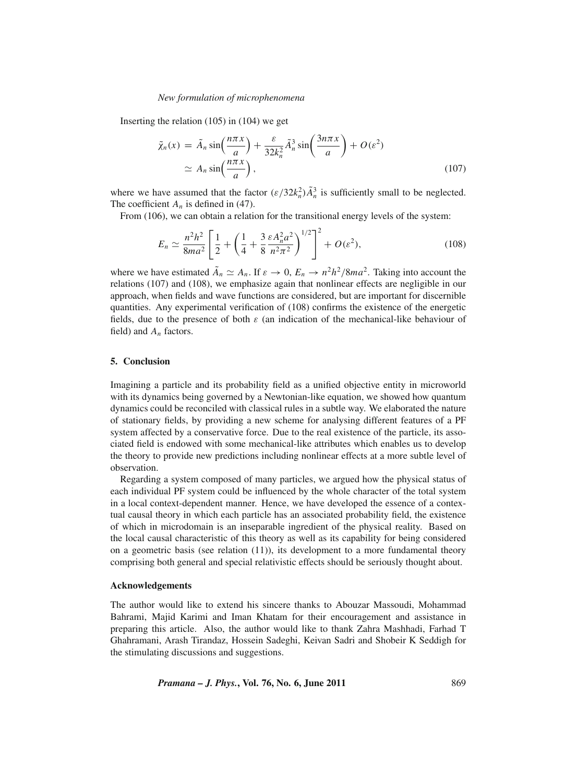Inserting the relation (105) in (104) we get

$$
\tilde{\chi}_n(x) = \tilde{A}_n \sin\left(\frac{n\pi x}{a}\right) + \frac{\varepsilon}{32k_n^2} \tilde{A}_n^3 \sin\left(\frac{3n\pi x}{a}\right) + O(\varepsilon^2)
$$
\n
$$
\simeq A_n \sin\left(\frac{n\pi x}{a}\right),\tag{107}
$$

where we have assumed that the factor  $(\varepsilon/32k_n^2)\tilde{A}_n^3$  is sufficiently small to be neglected. The coefficient  $A_n$  is defined in (47).

From (106), we can obtain a relation for the transitional energy levels of the system:

$$
E_n \simeq \frac{n^2 h^2}{8m a^2} \left[ \frac{1}{2} + \left( \frac{1}{4} + \frac{3}{8} \frac{\varepsilon A_n^2 a^2}{n^2 \pi^2} \right)^{1/2} \right]^2 + O(\varepsilon^2),\tag{108}
$$

where we have estimated  $\tilde{A}_n \simeq A_n$ . If  $\varepsilon \to 0$ ,  $E_n \to n^2 h^2 / 8ma^2$ . Taking into account the relations (107) and (108), we emphasize again that nonlinear effects are negligible in our approach, when fields and wave functions are considered, but are important for discernible quantities. Any experimental verification of (108) confirms the existence of the energetic fields, due to the presence of both  $\varepsilon$  (an indication of the mechanical-like behaviour of field) and *An* factors.

### **5. Conclusion**

Imagining a particle and its probability field as a unified objective entity in microworld with its dynamics being governed by a Newtonian-like equation, we showed how quantum dynamics could be reconciled with classical rules in a subtle way. We elaborated the nature of stationary fields, by providing a new scheme for analysing different features of a PF system affected by a conservative force. Due to the real existence of the particle, its associated field is endowed with some mechanical-like attributes which enables us to develop the theory to provide new predictions including nonlinear effects at a more subtle level of observation.

Regarding a system composed of many particles, we argued how the physical status of each individual PF system could be influenced by the whole character of the total system in a local context-dependent manner. Hence, we have developed the essence of a contextual causal theory in which each particle has an associated probability field, the existence of which in microdomain is an inseparable ingredient of the physical reality. Based on the local causal characteristic of this theory as well as its capability for being considered on a geometric basis (see relation  $(11)$ ), its development to a more fundamental theory comprising both general and special relativistic effects should be seriously thought about.

### **Acknowledgements**

The author would like to extend his sincere thanks to Abouzar Massoudi, Mohammad Bahrami, Majid Karimi and Iman Khatam for their encouragement and assistance in preparing this article. Also, the author would like to thank Zahra Mashhadi, Farhad T Ghahramani, Arash Tirandaz, Hossein Sadeghi, Keivan Sadri and Shobeir K Seddigh for the stimulating discussions and suggestions.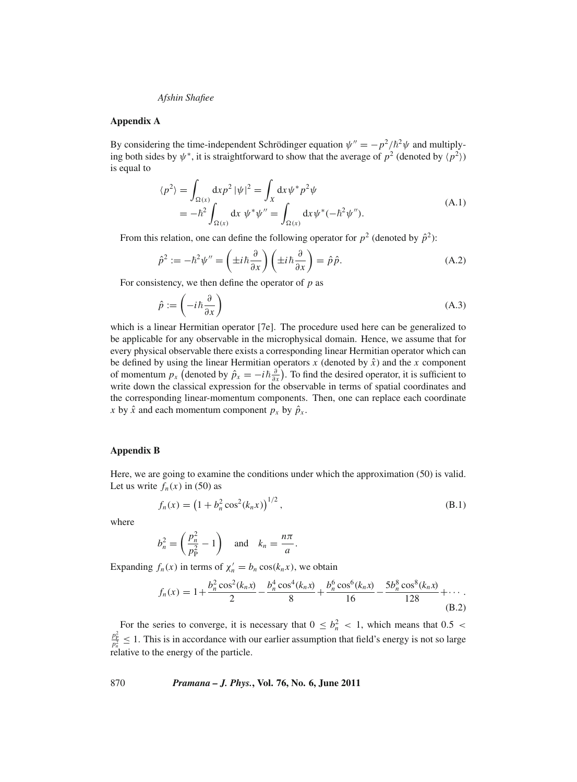### **Appendix A**

By considering the time-independent Schrödinger equation  $\psi'' = -p^2/\hbar^2 \psi$  and multiplying both sides by  $\psi^*$ , it is straightforward to show that the average of  $p^2$  (denoted by  $\langle p^2 \rangle$ ) is equal to

$$
\langle p^2 \rangle = \int_{\Omega(x)} \mathrm{d}x p^2 \, |\psi|^2 = \int_X \mathrm{d}x \, \psi^* p^2 \psi
$$
\n
$$
= -\hbar^2 \int_{\Omega(x)} \mathrm{d}x \, \psi^* \psi'' = \int_{\Omega(x)} \mathrm{d}x \, \psi^* (-\hbar^2 \psi''). \tag{A.1}
$$

From this relation, one can define the following operator for  $p^2$  (denoted by  $\hat{p}^2$ ):

$$
\hat{p}^2 := -\hbar^2 \psi'' = \left(\pm i \hbar \frac{\partial}{\partial x}\right) \left(\pm i \hbar \frac{\partial}{\partial x}\right) = \hat{p}\hat{p}.
$$
\n(A.2)

For consistency, we then define the operator of *p* as

$$
\hat{p} := \left(-i\hbar \frac{\partial}{\partial x}\right) \tag{A.3}
$$

which is a linear Hermitian operator [7e]. The procedure used here can be generalized to be applicable for any observable in the microphysical domain. Hence, we assume that for every physical observable there exists a corresponding linear Hermitian operator which can be defined by using the linear Hermitian operators  $x$  (denoted by  $\hat{x}$ ) and the  $x$  component of momentum  $p_x$  (denoted by  $\hat{p}_x = -i\hbar \frac{\partial}{\partial x}$ ). To find the desired operator, it is sufficient to write down the classical expression for the observable in terms of spatial coordinates and the corresponding linear-momentum components. Then, one can replace each coordinate *x* by  $\hat{x}$  and each momentum component  $p_x$  by  $\hat{p}_x$ .

### **Appendix B**

Here, we are going to examine the conditions under which the approximation (50) is valid. Let us write  $f_n(x)$  in (50) as

$$
f_n(x) = \left(1 + b_n^2 \cos^2(k_n x)\right)^{1/2},\tag{B.1}
$$

where

$$
b_n^2 = \left(\frac{p_n^2}{p_p^2} - 1\right) \quad \text{and} \quad k_n = \frac{n\pi}{a}.
$$

Expanding  $f_n(x)$  in terms of  $\chi'_n = b_n \cos(k_n x)$ , we obtain

$$
f_n(x) = 1 + \frac{b_n^2 \cos^2(k_n x)}{2} - \frac{b_n^4 \cos^4(k_n x)}{8} + \frac{b_n^6 \cos^6(k_n x)}{16} - \frac{5b_n^8 \cos^8(k_n x)}{128} + \cdots
$$
\n(B.2)

For the series to converge, it is necessary that  $0 \leq b_n^2 < 1$ , which means that  $0.5 <$  $\frac{p_p^2}{p_n^2} \le 1$ . This is in accordance with our earlier assumption that field's energy is not so large relative to the energy of the particle.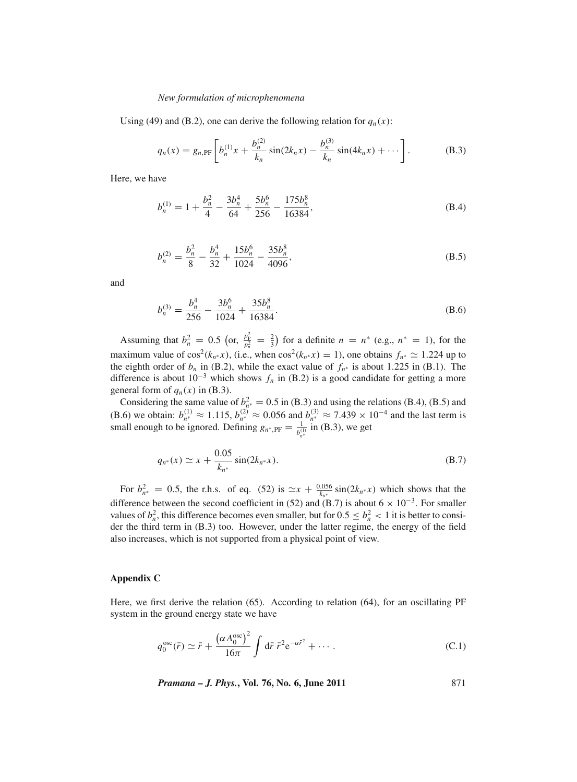Using (49) and (B.2), one can derive the following relation for  $q_n(x)$ :

$$
q_n(x) = g_{n,\text{PF}}\left[b_n^{(1)}x + \frac{b_n^{(2)}}{k_n}\sin(2k_nx) - \frac{b_n^{(3)}}{k_n}\sin(4k_nx) + \cdots\right].
$$
 (B.3)

Here, we have

$$
b_n^{(1)} = 1 + \frac{b_n^2}{4} - \frac{3b_n^4}{64} + \frac{5b_n^6}{256} - \frac{175b_n^8}{16384},
$$
 (B.4)

$$
b_n^{(2)} = \frac{b_n^2}{8} - \frac{b_n^4}{32} + \frac{15b_n^6}{1024} - \frac{35b_n^8}{4096},
$$
 (B.5)

and

$$
b_n^{(3)} = \frac{b_n^4}{256} - \frac{3b_n^6}{1024} + \frac{35b_n^8}{16384}.
$$
 (B.6)

Assuming that  $b_n^2 = 0.5$  (or,  $\frac{p_p^2}{p_n^2} = \frac{2}{3}$ ) for a definite  $n = n^*$  (e.g.,  $n^* = 1$ ), for the maximum value of  $\cos^2(k_n * x)$ , (i.e., when  $\cos^2(k_n * x) = 1$ ), one obtains  $f_n * \approx 1.224$  up to the eighth order of  $b_n$  in (B.2), while the exact value of  $f_{n*}$  is about 1.225 in (B.1). The difference is about  $10^{-3}$  which shows  $f_n$  in (B.2) is a good candidate for getting a more general form of  $q_n(x)$  in (B.3).

Considering the same value of  $b_{n*}^2 = 0.5$  in (B.3) and using the relations (B.4), (B.5) and (B.6) we obtain:  $b_{n^*}^{(1)} \approx 1.115$ ,  $b_{n^*}^{(2)} \approx 0.056$  and  $b_{n^*}^{(3)} \approx 7.439 \times 10^{-4}$  and the last term is small enough to be ignored. Defining  $g_{n^*,\text{PF}} = \frac{1}{b_{n^*}^{(1)}}$  in (B.3), we get

$$
q_{n^*}(x) \simeq x + \frac{0.05}{k_{n^*}} \sin(2k_{n^*}x). \tag{B.7}
$$

For  $b_{n*}^2 = 0.5$ , the r.h.s. of eq. (52) is  $\approx x + \frac{0.056}{k_n*} \sin(2k_n*x)$  which shows that the difference between the second coefficient in (52) and (B.7) is about  $6 \times 10^{-3}$ . For smaller values of  $b_n^2$ , this difference becomes even smaller, but for  $0.5 \le b_n^2 < 1$  it is better to consider the third term in (B.3) too. However, under the latter regime, the energy of the field also increases, which is not supported from a physical point of view.

### **Appendix C**

Here, we first derive the relation (65). According to relation (64), for an oscillating PF system in the ground energy state we have

$$
q_0^{\text{osc}}(\bar{r}) \simeq \bar{r} + \frac{\left(\alpha A_0^{\text{osc}}\right)^2}{16\pi} \int d\bar{r} \; \bar{r}^2 e^{-\alpha \bar{r}^2} + \cdots. \tag{C.1}
$$

*Pramana – J. Phys.***, Vol. 76, No. 6, June 2011** 871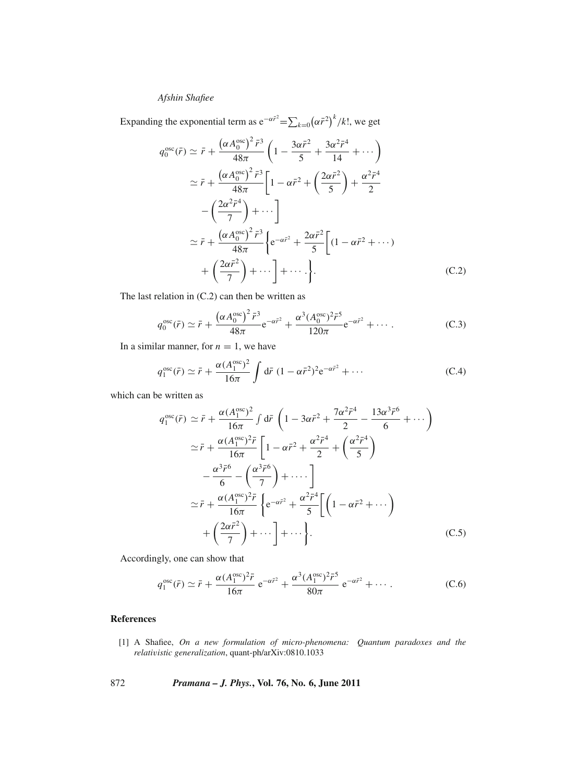Expanding the exponential term as  $e^{-\alpha \vec{r}^2} = \sum_{k=0} (\alpha \vec{r}^2)^k / k!$ , we get

$$
q_0^{\text{osc}}(\bar{r}) \simeq \bar{r} + \frac{(\alpha A_0^{\text{osc}})^2 \bar{r}^3}{48\pi} \left(1 - \frac{3\alpha \bar{r}^2}{5} + \frac{3\alpha^2 \bar{r}^4}{14} + \cdots \right)
$$
  
\n
$$
\simeq \bar{r} + \frac{(\alpha A_0^{\text{osc}})^2 \bar{r}^3}{48\pi} \left[1 - \alpha \bar{r}^2 + \left(\frac{2\alpha \bar{r}^2}{5}\right) + \frac{\alpha^2 \bar{r}^4}{2} - \left(\frac{2\alpha^2 \bar{r}^4}{7}\right) + \cdots \right]
$$
  
\n
$$
\simeq \bar{r} + \frac{(\alpha A_0^{\text{osc}})^2 \bar{r}^3}{48\pi} \left\{ e^{-\alpha \bar{r}^2} + \frac{2\alpha \bar{r}^2}{5} \left[ (1 - \alpha \bar{r}^2 + \cdots) + \left(\frac{2\alpha \bar{r}^2}{7}\right) + \cdots \right] + \cdots \right\}.
$$
 (C.2)

The last relation in (C.2) can then be written as

$$
q_0^{\text{osc}}(\bar{r}) \simeq \bar{r} + \frac{\left(\alpha A_0^{\text{osc}}\right)^2 \bar{r}^3}{48\pi} e^{-\alpha \bar{r}^2} + \frac{\alpha^3 (A_0^{\text{osc}})^2 \bar{r}^5}{120\pi} e^{-\alpha \bar{r}^2} + \cdots
$$
 (C.3)

In a similar manner, for  $n = 1$ , we have

$$
q_1^{\text{osc}}(\bar{r}) \simeq \bar{r} + \frac{\alpha (A_1^{\text{osc}})^2}{16\pi} \int d\bar{r} \ (1 - \alpha \bar{r}^2)^2 e^{-\alpha \bar{r}^2} + \cdots \tag{C.4}
$$

which can be written as

$$
q_1^{\text{osc}}(\bar{r}) \simeq \bar{r} + \frac{\alpha (A_1^{\text{osc}})^2}{16\pi} \int d\bar{r} \left( 1 - 3\alpha \bar{r}^2 + \frac{7\alpha^2 \bar{r}^4}{2} - \frac{13\alpha^3 \bar{r}^6}{6} + \cdots \right)
$$
  
\n
$$
\simeq \bar{r} + \frac{\alpha (A_1^{\text{osc}})^2 \bar{r}}{16\pi} \left[ 1 - \alpha \bar{r}^2 + \frac{\alpha^2 \bar{r}^4}{2} + \left( \frac{\alpha^2 \bar{r}^4}{5} \right) - \frac{\alpha^3 \bar{r}^6}{6} - \left( \frac{\alpha^3 \bar{r}^6}{7} \right) + \cdots \right]
$$
  
\n
$$
\simeq \bar{r} + \frac{\alpha (A_1^{\text{osc}})^2 \bar{r}}{16\pi} \left\{ e^{-\alpha \bar{r}^2} + \frac{\alpha^2 \bar{r}^4}{5} \left[ \left( 1 - \alpha \bar{r}^2 + \cdots \right) + \left( \frac{2\alpha \bar{r}^2}{7} \right) + \cdots \right] + \cdots \right\}.
$$
 (C.5)

Accordingly, one can show that

$$
q_1^{\text{osc}}(\bar{r}) \simeq \bar{r} + \frac{\alpha (A_1^{\text{osc}})^2 \bar{r}}{16\pi} e^{-\alpha \bar{r}^2} + \frac{\alpha^3 (A_1^{\text{osc}})^2 \bar{r}^5}{80\pi} e^{-\alpha \bar{r}^2} + \cdots
$$
 (C.6)

# **References**

- [1] A Shafiee, *On a new formulation of micro-phenomena: Quantum paradoxes and the relati*v*istic generalization*, quant-ph/arXiv:0810.1033
- 872 *Pramana J. Phys.***, Vol. 76, No. 6, June 2011**